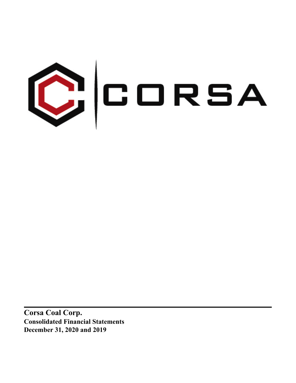

**Corsa Coal Corp. Consolidated Financial Statements December 31, 2020 and 2019**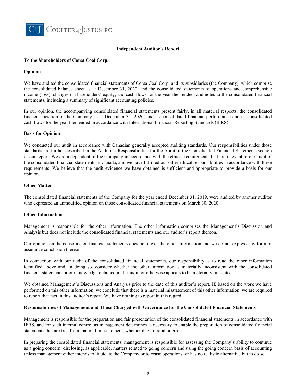

#### **Independent Auditor's Report**

#### **To the Shareholders of Corsa Coal Corp.**

### **Opinion**

We have audited the consolidated financial statements of Corsa Coal Corp. and its subsidiaries (the Company), which comprise the consolidated balance sheet as at December 31, 2020, and the consolidated statements of operations and comprehensive income (loss), changes in shareholders' equity, and cash flows for the year then ended, and notes to the consolidated financial statements, including a summary of significant accounting policies.

In our opinion, the accompanying consolidated financial statements present fairly, in all material respects, the consolidated financial position of the Company as at December 31, 2020, and its consolidated financial performance and its consolidated cash flows for the year then ended in accordance with International Financial Reporting Standards (IFRS).

#### **Basis for Opinion**

We conducted our audit in accordance with Canadian generally accepted auditing standards. Our responsibilities under those standards are further described in the Auditor's Responsibilities for the Audit of the Consolidated Financial Statements section of our report. We are independent of the Company in accordance with the ethical requirements that are relevant to our audit of the consolidated financial statements in Canada, and we have fulfilled our other ethical responsibilities in accordance with these requirements. We believe that the audit evidence we have obtained is sufficient and appropriate to provide a basis for our opinion.

#### **Other Matter**

The consolidated financial statements of the Company for the year ended December 31, 2019, were audited by another auditor who expressed an unmodified opinion on those consolidated financial statements on March 30, 2020.

#### **Other Information**

Management is responsible for the other information. The other information comprises the Management's Discussion and Analysis but does not include the consolidated financial statements and our auditor's report thereon.

Our opinion on the consolidated financial statements does not cover the other information and we do not express any form of assurance conclusion thereon.

In connection with our audit of the consolidated financial statements, our responsibility is to read the other information identified above and, in doing so, consider whether the other information is materially inconsistent with the consolidated financial statements or our knowledge obtained in the audit, or otherwise appears to be materially misstated.

We obtained Management's Discussions and Analysis prior to the date of this auditor's report. If, based on the work we have performed on this other information, we conclude that there is a material misstatement of this other information, we are required to report that fact in this auditor's report. We have nothing to report in this regard.

#### **Responsibilities of Management and Those Charged with Governance for the Consolidated Financial Statements**

Management is responsible for the preparation and fair presentation of the consolidated financial statements in accordance with IFRS, and for such internal control as management determines is necessary to enable the preparation of consolidated financial statements that are free from material misstatement, whether due to fraud or error.

In preparing the consolidated financial statements, management is responsible for assessing the Company's ability to continue as a going concern, disclosing, as applicable, matters related to going concern and using the going concern basis of accounting unless management either intends to liquidate the Company or to cease operations, or has no realistic alternative but to do so.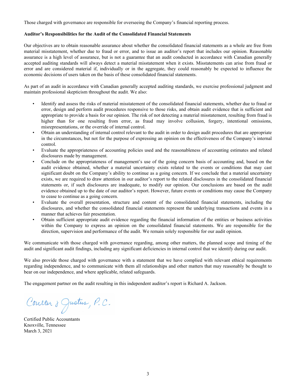Those charged with governance are responsible for overseeing the Company's financial reporting process.

#### **Auditor's Responsibilities for the Audit of the Consolidated Financial Statements**

Our objectives are to obtain reasonable assurance about whether the consolidated financial statements as a whole are free from material misstatement, whether due to fraud or error, and to issue an auditor's report that includes our opinion. Reasonable assurance is a high level of assurance, but is not a guarantee that an audit conducted in accordance with Canadian generally accepted auditing standards will always detect a material misstatement when it exists. Misstatements can arise from fraud or error and are considered material if, individually or in the aggregate, they could reasonably be expected to influence the economic decisions of users taken on the basis of these consolidated financial statements.

As part of an audit in accordance with Canadian generally accepted auditing standards, we exercise professional judgment and maintain professional skepticism throughout the audit. We also:

- Identify and assess the risks of material misstatement of the consolidated financial statements, whether due to fraud or error, design and perform audit procedures responsive to those risks, and obtain audit evidence that is sufficient and appropriate to provide a basis for our opinion. The risk of not detecting a material misstatement, resulting from fraud is higher than for one resulting from error, as fraud may involve collusion, forgery, intentional omissions, misrepresentations, or the override of internal control.
- Obtain an understanding of internal control relevant to the audit in order to design audit procedures that are appropriate in the circumstances, but not for the purpose of expressing an opinion on the effectiveness of the Company's internal control.
- Evaluate the appropriateness of accounting policies used and the reasonableness of accounting estimates and related disclosures made by management.
- Conclude on the appropriateness of management's use of the going concern basis of accounting and, based on the audit evidence obtained, whether a material uncertainty exists related to the events or conditions that may cast significant doubt on the Company's ability to continue as a going concern. If we conclude that a material uncertainty exists, we are required to draw attention in our auditor's report to the related disclosures in the consolidated financial statements or, if such disclosures are inadequate, to modify our opinion. Our conclusions are based on the audit evidence obtained up to the date of our auditor's report. However, future events or conditions may cause the Company to cease to continue as a going concern.
- Evaluate the overall presentation, structure and content of the consolidated financial statements, including the disclosures, and whether the consolidated financial statements represent the underlying transactions and events in a manner that achieves fair presentation.
- Obtain sufficient appropriate audit evidence regarding the financial information of the entities or business activities within the Company to express an opinion on the consolidated financial statements. We are responsible for the direction, supervision and performance of the audit. We remain solely responsible for our audit opinion.

We communicate with those charged with governance regarding, among other matters, the planned scope and timing of the audit and significant audit findings, including any significant deficiencies in internal control that we identify during our audit.

We also provide those charged with governance with a statement that we have complied with relevant ethical requirements regarding independence, and to communicate with them all relationships and other matters that may reasonably be thought to bear on our independence, and where applicable, related safeguards.

The engagement partner on the audit resulting in this independent auditor's report is Richard A. Jackson.

Coulter & Justus, P.C.

Certified Public Accountants Knoxville, Tennessee March 3, 2021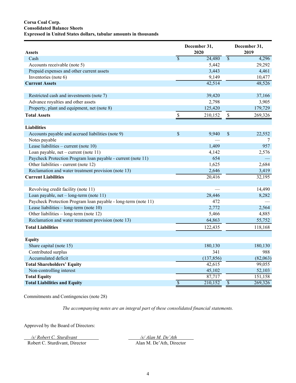| <b>Assets</b>                                                  |                          | December 31,<br>2020 |                          | December 31,<br>2019 |
|----------------------------------------------------------------|--------------------------|----------------------|--------------------------|----------------------|
| Cash                                                           | $\overline{\mathcal{S}}$ | 24,480               | $\overline{\mathcal{S}}$ | 4,296                |
| Accounts receivable (note 5)                                   |                          | 5,442                |                          | 29,292               |
| Prepaid expenses and other current assets                      |                          | 3,443                |                          | 4,461                |
| Inventories (note 6)                                           |                          | 9,149                |                          | 10,477               |
| <b>Current Assets</b>                                          |                          | 42,514               |                          | 48,526               |
| Restricted cash and investments (note 7)                       |                          | 39,420               |                          | 37,166               |
| Advance royalties and other assets                             |                          | 2,798                |                          | 3,905                |
| Property, plant and equipment, net (note 8)                    |                          | 125,420              |                          | 179,729              |
| <b>Total Assets</b>                                            | $\mathcal{S}$            | 210,152              | $\mathbb S$              | 269,326              |
|                                                                |                          |                      |                          |                      |
| <b>Liabilities</b>                                             |                          |                      |                          |                      |
| Accounts payable and accrued liabilities (note 9)              | \$                       | 9,940                | \$                       | 22,552               |
| Notes payable                                                  |                          |                      |                          | 7                    |
| Lease liabilities - current (note 10)                          |                          | 1,409                |                          | 957                  |
| Loan payable, net – current (note 11)                          |                          | 4,142                |                          | 2,576                |
| Paycheck Protection Program Ioan payable - current (note 11)   |                          | 654                  |                          |                      |
| Other liabilities - current (note 12)                          |                          | 1,625                |                          | 2,684                |
| Reclamation and water treatment provision (note 13)            |                          | 2,646                |                          | 3,419                |
| <b>Current Liabilities</b>                                     |                          | 20,416               |                          | 32,195               |
|                                                                |                          |                      |                          |                      |
| Revolving credit facility (note 11)                            |                          |                      |                          | 14,490               |
| Loan payable, net - long-term (note 11)                        |                          | 28,446               |                          | 8,282                |
| Paycheck Protection Program loan payable - long-term (note 11) |                          | 472                  |                          |                      |
| Lease liabilities $-$ long-term (note 10)                      |                          | 2,772                |                          | 2,564                |
| Other liabilities - long-term (note 12)                        |                          | 5,466                |                          | 4,885                |
| Reclamation and water treatment provision (note 13)            |                          | 64,863               |                          | 55,752               |
| <b>Total Liabilities</b>                                       |                          | 122,435              |                          | 118,168              |
| <b>Equity</b>                                                  |                          |                      |                          |                      |
| Share capital (note 15)                                        |                          | 180,130              |                          | 180,130              |
| Contributed surplus                                            |                          | 341                  |                          | 988                  |
| Accumulated deficit                                            |                          | (137, 856)           |                          | (82,063)             |
| <b>Total Shareholders' Equity</b>                              |                          | 42,615               |                          | 99,055               |
| Non-controlling interest                                       |                          | 45,102               |                          | 52,103               |
| <b>Total Equity</b>                                            |                          | 87,717               |                          | 151,158              |
| <b>Total Liabilities and Equity</b>                            | $\overline{\$}$          | 210,152              | $\overline{\$}$          | 269,326              |

Commitments and Contingencies (note 28)

*The accompanying notes are an integral part of these consolidated financial statements.*

Approved by the Board of Directors:

*/s/ Robert C. Sturdivant /s/ Alan M. De'Ath* 

Robert C. Sturdivant, Director Alan M. De'Ath, Director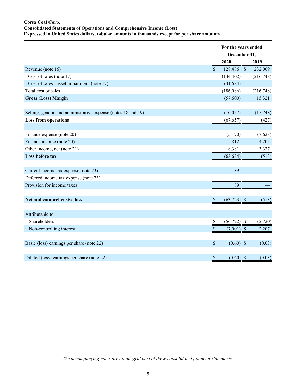# **Corsa Coal Corp. Consolidated Statements of Operations and Comprehensive Income (Loss) Expressed in United States dollars, tabular amounts in thousands except for per share amounts**

|                                                               | For the years ended<br>December 31, |               |               |           |  |
|---------------------------------------------------------------|-------------------------------------|---------------|---------------|-----------|--|
|                                                               |                                     | 2020          |               | 2019      |  |
| Revenue (note 16)                                             | $\mathcal{S}$                       | 128,486       | $\mathcal{S}$ | 232,069   |  |
| Cost of sales (note 17)                                       |                                     | (144, 402)    |               | (216,748) |  |
| Cost of sales - asset impairment (note 17)                    |                                     | (41, 684)     |               |           |  |
| Total cost of sales                                           |                                     | (186,086)     |               | (216,748) |  |
| <b>Gross (Loss) Margin</b>                                    |                                     | (57,600)      |               | 15,321    |  |
|                                                               |                                     |               |               |           |  |
| Selling, general and administrative expense (notes 18 and 19) |                                     | (10, 057)     |               | (15,748)  |  |
| <b>Loss from operations</b>                                   |                                     | (67, 657)     |               | (427)     |  |
|                                                               |                                     |               |               |           |  |
| Finance expense (note 20)                                     |                                     | (5,170)       |               | (7,628)   |  |
| Finance income (note 20)                                      |                                     | 812           |               | 4,205     |  |
| Other income, net (note 21)                                   |                                     | 8,381         |               | 3,337     |  |
| Loss before tax                                               |                                     | (63, 634)     |               | (513)     |  |
|                                                               |                                     |               |               |           |  |
| Current income tax expense (note 23)                          |                                     | 89            |               |           |  |
| Deferred income tax expense (note 23)                         |                                     |               |               |           |  |
| Provision for income taxes                                    |                                     | 89            |               |           |  |
|                                                               |                                     |               |               |           |  |
| Net and comprehensive loss                                    | $\mathcal{S}$                       | $(63,723)$ \$ |               | (513)     |  |
|                                                               |                                     |               |               |           |  |
| Attributable to:                                              |                                     |               |               |           |  |
| Shareholders                                                  | $\frac{1}{2}$                       | $(56,722)$ \$ |               | (2,720)   |  |
| Non-controlling interest                                      | $\boldsymbol{\mathsf{S}}$           | $(7,001)$ \$  |               | 2,207     |  |
|                                                               |                                     |               |               |           |  |
| Basic (loss) earnings per share (note 22)                     | $\boldsymbol{\mathsf{S}}$           | $(0.60)$ \$   |               | (0.03)    |  |
|                                                               |                                     |               |               |           |  |
| Diluted (loss) earnings per share (note 22)                   | $\boldsymbol{\mathsf{S}}$           | $(0.60)$ \$   |               | (0.03)    |  |

*The accompanying notes are an integral part of these consolidated financial statements.*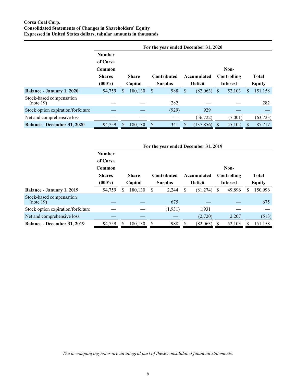# **Corsa Coal Corp. Consolidated Statements of Changes in Shareholders' Equity Expressed in United States dollars, tabular amounts in thousands**

|                                       |                                                                 |                         |         |                                      |       |     | For the year ended December 31, 2020 |              |                                        |   |                               |
|---------------------------------------|-----------------------------------------------------------------|-------------------------|---------|--------------------------------------|-------|-----|--------------------------------------|--------------|----------------------------------------|---|-------------------------------|
|                                       | <b>Number</b><br>of Corsa<br>Common<br><b>Shares</b><br>(000's) | <b>Share</b><br>Capital |         | <b>Contributed</b><br><b>Surplus</b> |       |     | Accumulated<br><b>Deficit</b>        |              | Non-<br>Controlling<br><b>Interest</b> |   | <b>Total</b><br><b>Equity</b> |
| <b>Balance - January 1, 2020</b>      | 94,759                                                          | S.                      | 180,130 | S                                    | 988   | \$. | (82,063)                             | \$           | 52,103                                 | S | 151,158                       |
| Stock-based compensation<br>(note 19) |                                                                 |                         |         |                                      | 282   |     |                                      |              |                                        |   | 282                           |
| Stock option expiration/forfeiture    |                                                                 |                         |         |                                      | (929) |     | 929                                  |              |                                        |   |                               |
| Net and comprehensive loss            |                                                                 |                         |         |                                      |       |     | (56, 722)                            |              | (7,001)                                |   | (63, 723)                     |
| <b>Balance - December 31, 2020</b>    | 94,759                                                          | ъ                       | 180,130 | S.                                   | 341   |     | (137, 856)                           | <sup>S</sup> | 45,102                                 |   | 87,717                        |

|                                       |               |         |              |                | For the year ended December 31, 2019 |                |             |                 |             |               |         |  |
|---------------------------------------|---------------|---------|--------------|----------------|--------------------------------------|----------------|-------------|-----------------|-------------|---------------|---------|--|
|                                       | <b>Number</b> |         |              |                |                                      |                |             |                 |             |               |         |  |
|                                       | of Corsa      |         |              |                |                                      |                |             |                 |             |               |         |  |
|                                       | Common        | Non-    |              |                |                                      |                |             |                 |             |               |         |  |
|                                       | <b>Shares</b> |         | <b>Share</b> |                | <b>Contributed</b>                   |                | Accumulated |                 | Controlling | <b>Total</b>  |         |  |
|                                       | (000's)       | Capital |              | <b>Surplus</b> |                                      | <b>Deficit</b> |             | <b>Interest</b> |             | <b>Equity</b> |         |  |
| Balance - January 1, 2019             | 94,759        |         | 180,130      | S              | 2,244                                | S              | (81, 274)   | S               | 49,896      | S             | 150,996 |  |
| Stock-based compensation<br>(note 19) |               |         |              |                | 675                                  |                |             |                 |             |               | 675     |  |
| Stock option expiration/forfeiture    |               |         |              |                | (1, 931)                             |                | 1,931       |                 |             |               |         |  |
| Net and comprehensive loss            |               |         |              |                |                                      |                | (2,720)     |                 | 2,207       |               | (513)   |  |
| <b>Balance - December 31, 2019</b>    | 94,759        |         | 180,130      |                | 988                                  |                | (82,063)    |                 | 52,103      |               | 151,158 |  |

*The accompanying notes are an integral part of these consolidated financial statements.*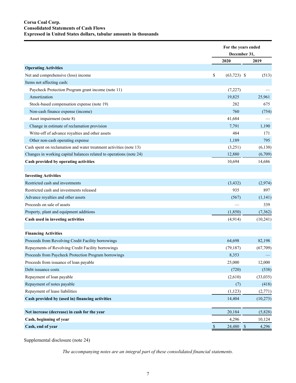# **Corsa Coal Corp. Consolidated Statements of Cash Flows Expressed in United States dollars, tabular amounts in thousands**

|                                                                     | For the years ended   |                        |
|---------------------------------------------------------------------|-----------------------|------------------------|
|                                                                     | December 31,<br>2020  | 2019                   |
| <b>Operating Activities</b>                                         |                       |                        |
| Net and comprehensive (loss) income                                 | \$<br>$(63,723)$ \$   | (513)                  |
| Items not affecting cash:                                           |                       |                        |
| Paycheck Protection Program grant income (note 11)                  | (7,227)               |                        |
| Amortization                                                        | 19,825                | 25,961                 |
| Stock-based compensation expense (note 19)                          | 282                   | 675                    |
| Non-cash finance expense (income)                                   | 760                   | (754)                  |
| Asset impairment (note 8)                                           | 41,684                |                        |
| Change in estimate of reclamation provision                         | 7,791                 | 1,190                  |
| Write-off of advance royalties and other assets                     | 484                   | 171                    |
| Other non-cash operating expense                                    | 1,189                 | 795                    |
| Cash spent on reclamation and water treatment activities (note 13)  | (3,251)               | (6, 130)               |
| Changes in working capital balances related to operations (note 24) | 12,880                | (6,709)                |
| Cash provided by operating activities                               | 10,694                | 14,686                 |
|                                                                     |                       |                        |
| <b>Investing Activities</b>                                         |                       |                        |
| Restricted cash and investments                                     | (3, 432)              | (2,974)                |
| Restricted cash and investments released                            | 935                   | 897                    |
| Advance royalties and other assets                                  | (567)                 | (1,141)                |
| Proceeds on sale of assets                                          |                       | 339                    |
| Property, plant and equipment additions                             | (1, 850)              | (7,362)                |
| Cash used in investing activities                                   | (4, 914)              | (10, 241)              |
|                                                                     |                       |                        |
| <b>Financing Activities</b>                                         |                       |                        |
| Proceeds from Revolving Credit Facility borrowings                  | 64,698                | 82,198                 |
| Repayments of Revolving Credit Facility borrowings                  | (79, 187)             | (67, 709)              |
| Proceeds from Paycheck Protection Program borrowings                | 8,353                 |                        |
| Proceeds from issuance of loan payable                              | 25,000                | 12,000                 |
| Debt issuance costs                                                 | (720)                 | (538)                  |
| Repayment of loan payable                                           | (2,610)               | (33,035)               |
| Repayment of notes payable                                          | (7)                   | (418)                  |
| Repayment of lease liabilities                                      | (1, 123)              | (2,771)                |
| Cash provided by (used in) financing activities                     | 14,404                | (10, 273)              |
| Net increase (decrease) in cash for the year                        | 20,184                | (5,828)                |
| Cash, beginning of year                                             | 4,296                 | 10,124                 |
| Cash, end of year                                                   | $\mathbb S$<br>24,480 | $\mathcal{S}$<br>4,296 |

Supplemental disclosure (note 24)

*The accompanying notes are an integral part of these consolidated financial statements.*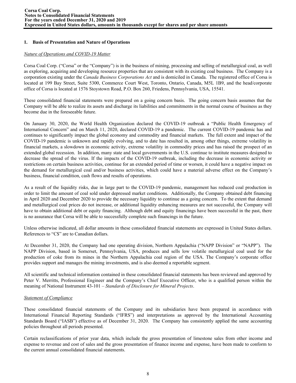# **1. Basis of Presentation and Nature of Operations**

### *Nature of Operations and COVID-19 Matter*

Corsa Coal Corp. ("Corsa" or the "Company") is in the business of mining, processing and selling of metallurgical coal, as well as exploring, acquiring and developing resource properties that are consistent with its existing coal business. The Company is a corporation existing under the *Canada Business Corporations Act* and is domiciled in Canada. The registered office of Corsa is located at 199 Bay Street, Suite 5300, Commerce Court West, Toronto, Ontario, Canada, M5L 1B9, and the head/corporate office of Corsa is located at 1576 Stoystown Road, P.O. Box 260, Friedens, Pennsylvania, USA, 15541.

These consolidated financial statements were prepared on a going concern basis. The going concern basis assumes that the Company will be able to realize its assets and discharge its liabilities and commitments in the normal course of business as they become due in the foreseeable future.

On January 30, 2020, the World Health Organization declared the COVID-19 outbreak a "Public Health Emergency of International Concern" and on March 11, 2020, declared COVID-19 a pandemic. The current COVID-19 pandemic has and continues to significantly impact the global economy and commodity and financial markets. The full extent and impact of the COVID-19 pandemic is unknown and rapidly evolving, and to date has resulted in, among other things, extreme volatility in financial markets, a slowdown in economic activity, extreme volatility in commodity prices and has raised the prospect of an extended global recession. In addition, many state and local governments in the U.S. continue to institute measures designed to decrease the spread of the virus. If the impacts of the COVID-19 outbreak, including the decrease in economic activity or restrictions on certain business activities, continue for an extended period of time or worsen, it could have a negative impact on the demand for metallurgical coal and/or business activities, which could have a material adverse effect on the Company's business, financial condition, cash flows and results of operations.

As a result of the liquidity risks, due in large part to the COVID-19 pandemic, management has reduced coal production in order to limit the amount of coal sold under depressed market conditions. Additionally, the Company obtained debt financing in April 2020 and December 2020 to provide the necessary liquidity to continue as a going concern. To the extent that demand and metallurgical coal prices do not increase, or additional liquidity enhancing measures are not successful, the Company will have to obtain additional debt or equity financing. Although debt and equity financings have been successful in the past, there is no assurance that Corsa will be able to successfully complete such financings in the future.

Unless otherwise indicated, all dollar amounts in these consolidated financial statements are expressed in United States dollars. References to "C\$" are to Canadian dollars.

At December 31, 2020, the Company had one operating division, Northern Appalachia ("NAPP Division" or "NAPP"). The NAPP Division, based in Somerset, Pennsylvania, USA, produces and sells low volatile metallurgical coal used for the production of coke from its mines in the Northern Appalachia coal region of the USA. The Company's corporate office provides support and manages the mining investments, and is also deemed a reportable segment.

All scientific and technical information contained in these consolidated financial statements has been reviewed and approved by Peter V. Merritts, Professional Engineer and the Company's Chief Executive Officer, who is a qualified person within the meaning of National Instrument 43-101 – *Standards of Disclosure for Mineral Projects*.

# *Statement of Compliance*

These consolidated financial statements of the Company and its subsidiaries have been prepared in accordance with International Financial Reporting Standards ("IFRS") and interpretations as approved by the International Accounting Standards Board ("IASB") effective as of December 31, 2020. The Company has consistently applied the same accounting policies throughout all periods presented.

Certain reclassifications of prior year data, which include the gross presentation of limestone sales from other income and expense to revenue and cost of sales and the gross presentation of finance income and expense, have been made to conform to the current annual consolidated financial statements.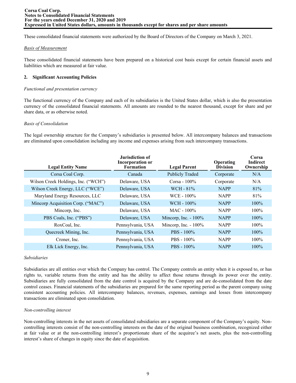These consolidated financial statements were authorized by the Board of Directors of the Company on March 3, 2021.

#### *Basis of Measurement*

These consolidated financial statements have been prepared on a historical cost basis except for certain financial assets and liabilities which are measured at fair value.

# **2. Significant Accounting Policies**

### *Functional and presentation currency*

The functional currency of the Company and each of its subsidiaries is the United States dollar, which is also the presentation currency of the consolidated financial statements. All amounts are rounded to the nearest thousand, except for share and per share data, or as otherwise noted.

#### *Basis of Consolidation*

The legal ownership structure for the Company's subsidiaries is presented below. All intercompany balances and transactions are eliminated upon consolidation including any income and expenses arising from such intercompany transactions.

| <b>Legal Entity Name</b>            | Jurisdiction of<br><b>Incorporation or</b><br><b>Formation</b> | <b>Legal Parent</b>    | Operating<br><b>Division</b> | Corsa<br><b>Indirect</b><br>Ownership |
|-------------------------------------|----------------------------------------------------------------|------------------------|------------------------------|---------------------------------------|
| Corsa Coal Corp.                    | Canada                                                         | <b>Publicly Traded</b> | Corporate                    | N/A                                   |
| Wilson Creek Holdings, Inc. ("WCH") | Delaware, USA                                                  | Corsa - $100\%$        | Corporate                    | N/A                                   |
| Wilson Creek Energy, LLC ("WCE")    | Delaware, USA                                                  | WCH $-81\%$            | <b>NAPP</b>                  | 81%                                   |
| Maryland Energy Resources, LLC      | Delaware, USA                                                  | $WCE - 100\%$          | <b>NAPP</b>                  | 81%                                   |
| Mincorp Acquisition Corp. ("MAC")   | Delaware, USA                                                  | $WCH - 100\%$          | <b>NAPP</b>                  | 100%                                  |
| Mincorp, Inc.                       | Delaware, USA                                                  | $MAC - 100\%$          | <b>NAPP</b>                  | 100%                                  |
| PBS Coals, Inc. ("PBS")             | Delaware, USA                                                  | Mincorp, Inc. $-100\%$ | <b>NAPP</b>                  | $100\%$                               |
| RoxCoal, Inc.                       | Pennsylvania, USA                                              | Mincorp, Inc. $-100\%$ | <b>NAPP</b>                  | $100\%$                               |
| Quecreek Mining, Inc.               | Pennsylvania, USA                                              | $PBS - 100\%$          | <b>NAPP</b>                  | $100\%$                               |
| Croner, Inc.                        | Pennsylvania, USA                                              | $PBS - 100\%$          | <b>NAPP</b>                  | 100%                                  |
| Elk Lick Energy, Inc.               | Pennsylvania, USA                                              | $PBS - 100\%$          | <b>NAPP</b>                  | 100%                                  |

#### *Subsidiaries*

Subsidiaries are all entities over which the Company has control. The Company controls an entity when it is exposed to, or has rights to, variable returns from the entity and has the ability to affect those returns through its power over the entity. Subsidiaries are fully consolidated from the date control is acquired by the Company and are de-consolidated from the date control ceases. Financial statements of the subsidiaries are prepared for the same reporting period as the parent company using consistent accounting policies. All intercompany balances, revenues, expenses, earnings and losses from intercompany transactions are eliminated upon consolidation.

# *Non-controlling interest*

Non-controlling interests in the net assets of consolidated subsidiaries are a separate component of the Company's equity. Noncontrolling interests consist of the non-controlling interests on the date of the original business combination, recognized either at fair value or at the non-controlling interest's proportionate share of the acquiree's net assets, plus the non-controlling interest's share of changes in equity since the date of acquisition.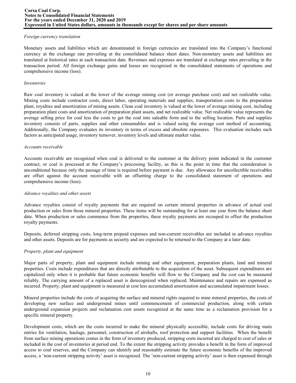#### *Foreign currency translation*

Monetary assets and liabilities which are denominated in foreign currencies are translated into the Company's functional currency at the exchange rate prevailing at the consolidated balance sheet dates. Non-monetary assets and liabilities are translated at historical rates at each transaction date. Revenues and expenses are translated at exchange rates prevailing in the transaction period. All foreign exchange gains and losses are recognized in the consolidated statements of operations and comprehensive income (loss).

#### *Inventories*

Raw coal inventory is valued at the lower of the average mining cost (or average purchase cost) and net realizable value. Mining costs include contractor costs, direct labor, operating materials and supplies, transportation costs to the preparation plant, royalties and amortization of mining assets. Clean coal inventory is valued at the lower of average mining cost, including preparation plant costs and amortization of preparation plant assets, and net realizable value. Net realizable value represents the average selling price for coal less the costs to get the coal into saleable form and to the selling location. Parts and supplies inventory consists of parts, supplies and other consumables and is valued using the average cost method of accounting. Additionally, the Company evaluates its inventory in terms of excess and obsolete exposures. This evaluation includes such factors as anticipated usage, inventory turnover, inventory levels and ultimate market value.

#### *Accounts receivable*

Accounts receivable are recognized when coal is delivered to the customer at the delivery point indicated in the customer contract, or coal is processed at the Company's processing facility, as this is the point in time that the consideration is unconditional because only the passage of time is required before payment is due. Any allowance for uncollectible receivables are offset against the account receivable with an offsetting charge to the consolidated statement of operations and comprehensive income (loss).

#### *Advance royalties and other assets*

Advance royalties consist of royalty payments that are required on certain mineral properties in advance of actual coal production or sales from those mineral properties. These items will be outstanding for at least one year from the balance sheet date. When production or sales commence from the properties, these royalty payments are recouped to offset the production royalty payments.

Deposits, deferred stripping costs, long-term prepaid expenses and non-current receivables are included in advance royalties and other assets. Deposits are for payments as security and are expected to be returned to the Company at a later date.

# *Property, plant and equipment*

Major parts of property, plant and equipment include mining and other equipment, preparation plants, land and mineral properties. Costs include expenditures that are directly attributable to the acquisition of the asset. Subsequent expenditures are capitalized only when it is probable that future economic benefits will flow to the Company and the cost can be measured reliably. The carrying amount of a replaced asset is derecognized when replaced. Maintenance and repairs are expensed as incurred. Property, plant and equipment is measured at cost less accumulated amortization and accumulated impairment losses.

Mineral properties include the costs of acquiring the surface and mineral rights required to mine mineral properties, the costs of developing new surface and underground mines until commencement of commercial production, along with certain underground expansion projects and reclamation cost assets recognized at the same time as a reclamation provision for a specific mineral property.

Development costs, which are the costs incurred to make the mineral physically accessible, include costs for driving main entries for ventilation, haulage, personnel, construction of airshafts, roof protection and support facilities. When the benefit from surface mining operations comes in the form of inventory produced, stripping costs incurred are charged to cost of sales or included in the cost of inventories at period end. To the extent the stripping activity provides a benefit in the form of improved access to coal reserves, and the Company can identify and reasonably estimate the future economic benefits of the improved access, a 'non-current stripping activity' asset is recognized. The 'non-current stripping activity' asset is then expensed through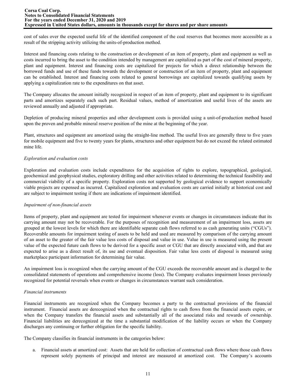cost of sales over the expected useful life of the identified component of the coal reserves that becomes more accessible as a result of the stripping activity utilizing the units-of-production method.

Interest and financing costs relating to the construction or development of an item of property, plant and equipment as well as costs incurred to bring the asset to the condition intended by management are capitalized as part of the cost of mineral property, plant and equipment. Interest and financing costs are capitalized for projects for which a direct relationship between the borrowed funds and use of these funds towards the development or construction of an item of property, plant and equipment can be established. Interest and financing costs related to general borrowings are capitalized towards qualifying assets by applying a capitalization rate to the expenditures on that asset.

The Company allocates the amount initially recognized in respect of an item of property, plant and equipment to its significant parts and amortizes separately each such part. Residual values, method of amortization and useful lives of the assets are reviewed annually and adjusted if appropriate.

Depletion of producing mineral properties and other development costs is provided using a unit-of-production method based upon the proven and probable mineral reserve position of the mine at the beginning of the year.

Plant, structures and equipment are amortized using the straight-line method. The useful lives are generally three to five years for mobile equipment and five to twenty years for plants, structures and other equipment but do not exceed the related estimated mine life.

# *Exploration and evaluation costs*

Exploration and evaluation costs include expenditures for the acquisition of rights to explore, topographical, geological, geochemical and geophysical studies, exploratory drilling and other activities related to determining the technical feasibility and commercial viability of a specific property. Exploration costs not supported by geological evidence to support economically viable projects are expensed as incurred. Capitalized exploration and evaluation costs are carried initially at historical cost and are subject to impairment testing if there are indications of impairment identified.

# *Impairment of non-financial assets*

Items of property, plant and equipment are tested for impairment whenever events or changes in circumstances indicate that its carrying amount may not be recoverable. For the purposes of recognition and measurement of an impairment loss, assets are grouped at the lowest levels for which there are identifiable separate cash flows referred to as cash generating units ("CGUs"). Recoverable amounts for impairment testing of assets to be held and used are measured by comparison of the carrying amount of an asset to the greater of the fair value less costs of disposal and value in use. Value in use is measured using the present value of the expected future cash flows to be derived for a specific asset or CGU that are directly associated with, and that are expected to arise as a direct result of, its use and eventual disposition. Fair value less costs of disposal is measured using marketplace participant information for determining fair value.

An impairment loss is recognized when the carrying amount of the CGU exceeds the recoverable amount and is charged to the consolidated statements of operations and comprehensive income (loss). The Company evaluates impairment losses previously recognized for potential reversals when events or changes in circumstances warrant such consideration.

# *Financial instruments*

Financial instruments are recognized when the Company becomes a party to the contractual provisions of the financial instrument. Financial assets are derecognized when the contractual rights to cash flows from the financial assets expire, or when the Company transfers the financial assets and substantially all of the associated risks and rewards of ownership. Financial liabilities are derecognized at the time a substantial modification of the liability occurs or when the Company discharges any continuing or further obligation for the specific liability.

The Company classifies its financial instruments in the categories below:

a. Financial assets at amortized cost: Assets that are held for collection of contractual cash flows where those cash flows represent solely payments of principal and interest are measured at amortized cost. The Company's accounts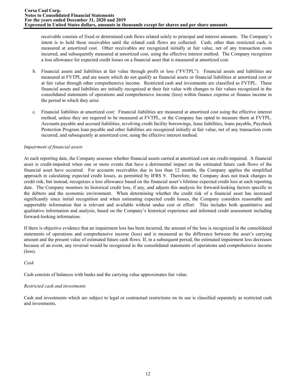receivable consists of fixed or determined cash flows related solely to principal and interest amounts. The Company's intent is to hold these receivables until the related cash flows are collected. Cash, other than restricted cash, is measured at amortized cost. Other receivables are recognized initially at fair value, net of any transaction costs incurred, and subsequently measured at amortized cost, using the effective interest method. The Company recognizes a loss allowance for expected credit losses on a financial asset that is measured at amortized cost.

- b. Financial assets and liabilities at fair value through profit or loss ("FVTPL"): Financial assets and liabilities are measured at FVTPL and are assets which do not qualify as financial assets or financial liabilities at amortized cost or at fair value through other comprehensive income. Restricted cash and investments are classified as FVTPL. These financial assets and liabilities are initially recognized at their fair value with changes to fair values recognized in the consolidated statements of operations and comprehensive income (loss) within finance expense or finance income in the period in which they arise.
- c. Financial liabilities at amortized cost: Financial liabilities are measured at amortized cost using the effective interest method, unless they are required to be measured at FVTPL, or the Company has opted to measure them at FVTPL. Accounts payable and accrued liabilities, revolving credit facility borrowings, lease liabilities, loans payable, Paycheck Protection Program loan payable and other liabilities are recognized initially at fair value, net of any transaction costs incurred, and subsequently at amortized cost, using the effective interest method.

# *Impairment of financial assets*

At each reporting date, the Company assesses whether financial assets carried at amortized cost are credit-impaired. A financial asset is credit-impaired when one or more events that have a detrimental impact on the estimated future cash flows of the financial asset have occurred. For accounts receivables due in less than 12 months, the Company applies the simplified approach in calculating expected credit losses, as permitted by IFRS 9. Therefore, the Company does not track changes in credit risk, but instead, recognizes a loss allowance based on the financial asset's lifetime expected credit loss at each reporting date. The Company monitors its historical credit loss, if any, and adjusts this analysis for forward-looking factors specific to the debtors and the economic environment. When determining whether the credit risk of a financial asset has increased significantly since initial recognition and when estimating expected credit losses, the Company considers reasonable and supportable information that is relevant and available without undue cost or effort. This includes both quantitative and qualitative information and analysis, based on the Company's historical experience and informed credit assessment including forward-looking information.

If there is objective evidence that an impairment loss has been incurred, the amount of the loss is recognized in the consolidated statements of operations and comprehensive income (loss) and is measured as the difference between the asset's carrying amount and the present value of estimated future cash flows. If, in a subsequent period, the estimated impairment loss decreases because of an event, any reversal would be recognized in the consolidated statements of operations and comprehensive income (loss).

# *Cash*

Cash consists of balances with banks and the carrying value approximates fair value.

# *Restricted cash and investments*

Cash and investments which are subject to legal or contractual restrictions on its use is classified separately as restricted cash and investments.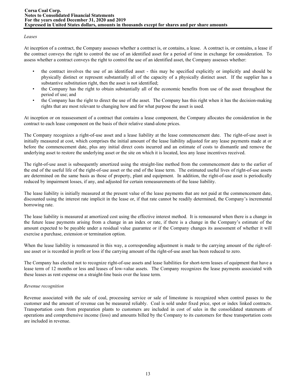### *Leases*

At inception of a contract, the Company assesses whether a contract is, or contains, a lease. A contract is, or contains, a lease if the contract conveys the right to control the use of an identified asset for a period of time in exchange for consideration. To assess whether a contract conveys the right to control the use of an identified asset, the Company assesses whether:

- the contract involves the use of an identified asset this may be specified explicitly or implicitly and should be physically distinct or represent substantially all of the capacity of a physically distinct asset. If the supplier has a substantive substitution right, then the asset is not identified;
- the Company has the right to obtain substantially all of the economic benefits from use of the asset throughout the period of use; and
- the Company has the right to direct the use of the asset. The Company has this right when it has the decision-making rights that are most relevant to changing how and for what purpose the asset is used.

At inception or on reassessment of a contract that contains a lease component, the Company allocates the consideration in the contract to each lease component on the basis of their relative stand-alone prices.

The Company recognizes a right-of-use asset and a lease liability at the lease commencement date. The right-of-use asset is initially measured at cost, which comprises the initial amount of the lease liability adjusted for any lease payments made at or before the commencement date, plus any initial direct costs incurred and an estimate of costs to dismantle and remove the underlying asset to restore the underlying asset or the site on which it is located, less any lease incentives received.

The right-of-use asset is subsequently amortized using the straight-line method from the commencement date to the earlier of the end of the useful life of the right-of-use asset or the end of the lease term. The estimated useful lives of right-of-use assets are determined on the same basis as those of property, plant and equipment. In addition, the right-of-use asset is periodically reduced by impairment losses, if any, and adjusted for certain remeasurements of the lease liability.

The lease liability is initially measured at the present value of the lease payments that are not paid at the commencement date, discounted using the interest rate implicit in the lease or, if that rate cannot be readily determined, the Company's incremental borrowing rate.

The lease liability is measured at amortized cost using the effective interest method. It is remeasured when there is a change in the future lease payments arising from a change in an index or rate, if there is a change in the Company's estimate of the amount expected to be payable under a residual value guarantee or if the Company changes its assessment of whether it will exercise a purchase, extension or termination option.

When the lease liability is remeasured in this way, a corresponding adjustment is made to the carrying amount of the right-ofuse asset or is recorded in profit or loss if the carrying amount of the right-of-use asset has been reduced to zero.

The Company has elected not to recognize right-of-use assets and lease liabilities for short-term leases of equipment that have a lease term of 12 months or less and leases of low-value assets. The Company recognizes the lease payments associated with these leases as rent expense on a straight-line basis over the lease term.

# *Revenue recognition*

Revenue associated with the sale of coal, processing service or sale of limestone is recognized when control passes to the customer and the amount of revenue can be measured reliably. Coal is sold under fixed price, spot or index linked contracts. Transportation costs from preparation plants to customers are included in cost of sales in the consolidated statements of operations and comprehensive income (loss) and amounts billed by the Company to its customers for these transportation costs are included in revenue.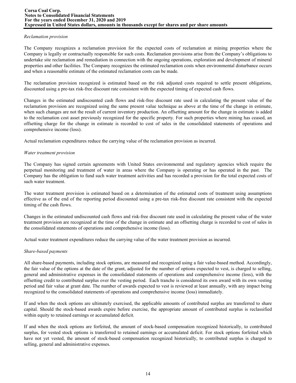#### *Reclamation provision*

The Company recognizes a reclamation provision for the expected costs of reclamation at mining properties where the Company is legally or contractually responsible for such costs. Reclamation provisions arise from the Company's obligations to undertake site reclamation and remediation in connection with the ongoing operations, exploration and development of mineral properties and other facilities. The Company recognizes the estimated reclamation costs when environmental disturbance occurs and when a reasonable estimate of the estimated reclamation costs can be made.

The reclamation provision recognized is estimated based on the risk adjusted costs required to settle present obligations, discounted using a pre-tax risk-free discount rate consistent with the expected timing of expected cash flows.

Changes in the estimated undiscounted cash flows and risk-free discount rate used in calculating the present value of the reclamation provision are recognized using the same present value technique as above at the time of the change in estimate, when such changes are not the result of current inventory production. An offsetting amount for the change in estimate is added to the reclamation cost asset previously recognized for the specific property. For such properties where mining has ceased, an offsetting charge for the change in estimate is recorded to cost of sales in the consolidated statements of operations and comprehensive income (loss).

Actual reclamation expenditures reduce the carrying value of the reclamation provision as incurred.

#### *Water treatment provision*

The Company has signed certain agreements with United States environmental and regulatory agencies which require the perpetual monitoring and treatment of water in areas where the Company is operating or has operated in the past. The Company has the obligation to fund such water treatment activities and has recorded a provision for the total expected costs of such water treatment.

The water treatment provision is estimated based on a determination of the estimated costs of treatment using assumptions effective as of the end of the reporting period discounted using a pre-tax risk-free discount rate consistent with the expected timing of the cash flows.

Changes in the estimated undiscounted cash flows and risk-free discount rate used in calculating the present value of the water treatment provision are recognized at the time of the change in estimate and an offsetting charge is recorded to cost of sales in the consolidated statements of operations and comprehensive income (loss).

Actual water treatment expenditures reduce the carrying value of the water treatment provision as incurred.

#### *Share-based payments*

All share-based payments, including stock options, are measured and recognized using a fair value-based method. Accordingly, the fair value of the options at the date of the grant, adjusted for the number of options expected to vest, is charged to selling, general and administrative expenses in the consolidated statements of operations and comprehensive income (loss), with the offsetting credit to contributed surplus over the vesting period. Each tranche is considered its own award with its own vesting period and fair value at grant date. The number of awards expected to vest is reviewed at least annually, with any impact being recognized to the consolidated statements of operations and comprehensive income (loss) immediately.

If and when the stock options are ultimately exercised, the applicable amounts of contributed surplus are transferred to share capital. Should the stock-based awards expire before exercise, the appropriate amount of contributed surplus is reclassified within equity to retained earnings or accumulated deficit.

If and when the stock options are forfeited, the amount of stock-based compensation recognized historically, to contributed surplus, for vested stock options is transferred to retained earnings or accumulated deficit. For stock options forfeited which have not yet vested, the amount of stock-based compensation recognized historically, to contributed surplus is charged to selling, general and administrative expenses.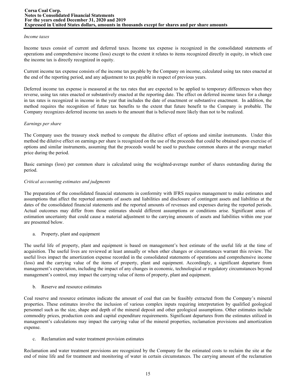#### *Income taxes*

Income taxes consist of current and deferred taxes. Income tax expense is recognized in the consolidated statements of operations and comprehensive income (loss) except to the extent it relates to items recognized directly in equity, in which case the income tax is directly recognized in equity.

Current income tax expense consists of the income tax payable by the Company on income, calculated using tax rates enacted at the end of the reporting period, and any adjustment to tax payable in respect of previous years.

Deferred income tax expense is measured at the tax rates that are expected to be applied to temporary differences when they reverse, using tax rates enacted or substantively enacted at the reporting date. The effect on deferred income taxes for a change in tax rates is recognized in income in the year that includes the date of enactment or substantive enactment. In addition, the method requires the recognition of future tax benefits to the extent that future benefit to the Company is probable. The Company recognizes deferred income tax assets to the amount that is believed more likely than not to be realized.

#### *Earnings per share*

The Company uses the treasury stock method to compute the dilutive effect of options and similar instruments. Under this method the dilutive effect on earnings per share is recognized on the use of the proceeds that could be obtained upon exercise of options and similar instruments, assuming that the proceeds would be used to purchase common shares at the average market price during the period.

Basic earnings (loss) per common share is calculated using the weighted-average number of shares outstanding during the period.

#### *Critical accounting estimates and judgments*

The preparation of the consolidated financial statements in conformity with IFRS requires management to make estimates and assumptions that affect the reported amounts of assets and liabilities and disclosure of contingent assets and liabilities at the dates of the consolidated financial statements and the reported amounts of revenues and expenses during the reported periods. Actual outcomes may differ from those estimates should different assumptions or conditions arise. Significant areas of estimation uncertainty that could cause a material adjustment to the carrying amounts of assets and liabilities within one year are presented below.

# a. Property, plant and equipment

The useful life of property, plant and equipment is based on management's best estimate of the useful life at the time of acquisition. The useful lives are reviewed at least annually or when other changes or circumstances warrant this review. The useful lives impact the amortization expense recorded in the consolidated statements of operations and comprehensive income (loss) and the carrying value of the items of property, plant and equipment. Accordingly, a significant departure from management's expectation, including the impact of any changes in economic, technological or regulatory circumstances beyond management's control, may impact the carrying value of items of property, plant and equipment.

b. Reserve and resource estimates

Coal reserve and resource estimates indicate the amount of coal that can be feasibly extracted from the Company's mineral properties. These estimates involve the inclusion of various complex inputs requiring interpretation by qualified geological personnel such as the size, shape and depth of the mineral deposit and other geological assumptions. Other estimates include commodity prices, production costs and capital expenditure requirements. Significant departures from the estimates utilized in management's calculations may impact the carrying value of the mineral properties, reclamation provisions and amortization expense.

# c. Reclamation and water treatment provision estimates

Reclamation and water treatment provisions are recognized by the Company for the estimated costs to reclaim the site at the end of mine life and for treatment and monitoring of water in certain circumstances. The carrying amount of the reclamation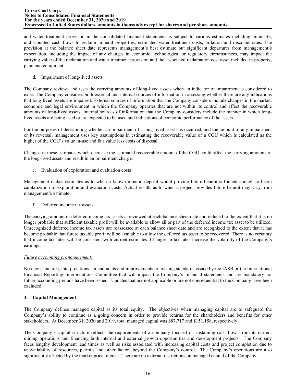and water treatment provision in the consolidated financial statements is subject to various estimates including mine life, undiscounted cash flows to reclaim mineral properties, estimated water treatment costs, inflation and discount rates. The provision at the balance sheet date represents management's best estimate but significant departures from management's expectation, including the impact of any changes in economic, technological or regulatory circumstances, may impact the carrying value of the reclamation and water treatment provision and the associated reclamation cost asset included in property, plant and equipment.

# d. Impairment of long-lived assets

The Company reviews and tests the carrying amounts of long-lived assets when an indicator of impairment is considered to exist. The Company considers both external and internal sources of information in assessing whether there are any indications that long-lived assets are impaired. External sources of information that the Company considers include changes in the market, economic and legal environment in which the Company operates that are not within its control and affect the recoverable amounts of long-lived assets. Internal sources of information that the Company considers include the manner in which longlived assets are being used or are expected to be used and indications of economic performance of the assets.

For the purposes of determining whether an impairment of a long-lived asset has occurred, and the amount of any impairment or its reversal, management uses key assumptions in estimating the recoverable value of a CGU which is calculated as the higher of the CGU's value in-use and fair value less costs of disposal.

Changes in these estimates which decrease the estimated recoverable amount of the CGU could affect the carrying amounts of the long-lived assets and result in an impairment charge.

e. Evaluation of exploration and evaluation costs

Management makes estimates as to when a known mineral deposit would provide future benefit sufficient enough to begin capitalization of exploration and evaluation costs. Actual results as to when a project provides future benefit may vary from management's estimate.

f. Deferred income tax assets

The carrying amount of deferred income tax assets is reviewed at each balance sheet date and reduced to the extent that it is no longer probable that sufficient taxable profit will be available to allow all or part of the deferred income tax asset to be utilized. Unrecognized deferred income tax assets are reassessed at each balance sheet date and are recognized to the extent that it has become probable that future taxable profit will be available to allow the deferred tax asset to be recovered. There is no certainty that income tax rates will be consistent with current estimates. Changes in tax rates increase the volatility of the Company's earnings.

# *Future accounting pronouncements*

No new standards, interpretations, amendments and improvements to existing standards issued by the IASB or the International Financial Reporting Interpretations Committee that will impact the Company's financial statements and are mandatory for future accounting periods have been issued. Updates that are not applicable or are not consequential to the Company have been excluded.

# **3. Capital Management**

The Company defines managed capital as its total equity. The objectives when managing capital are to safeguard the Company's ability to continue as a going concern in order to provide returns for the shareholders and benefits for other stakeholders. At December 31, 2020 and 2019, total managed capital was \$87,717 and \$151,158, respectively.

The Company's capital structure reflects the requirements of a company focused on sustaining cash flows from its current mining operations and financing both internal and external growth opportunities and development projects. The Company faces lengthy development lead times as well as risks associated with increasing capital costs and project completion due to unavailability of resources, permits and other factors beyond the Company's control. The Company's operations are also significantly affected by the market price of coal. There are no external restrictions on managed capital of the Company.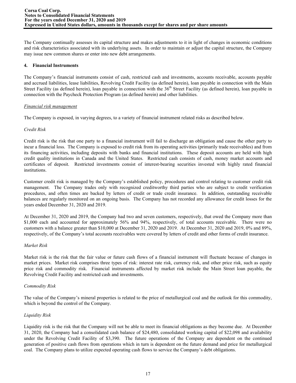The Company continually assesses its capital structure and makes adjustments to it in light of changes in economic conditions and risk characteristics associated with its underlying assets. In order to maintain or adjust the capital structure, the Company may issue new common shares or enter into new debt arrangements.

# **4. Financial Instruments**

The Company's financial instruments consist of cash, restricted cash and investments, accounts receivable, accounts payable and accrued liabilities, lease liabilities, Revolving Credit Facility (as defined herein), loan payable in connection with the Main Street Facility (as defined herein), loan payable in connection with the  $36<sup>th</sup>$  Street Facility (as defined herein), loan payable in connection with the Paycheck Protection Program (as defined herein) and other liabilities.

#### *Financial risk management*

The Company is exposed, in varying degrees, to a variety of financial instrument related risks as described below.

#### *Credit Risk*

Credit risk is the risk that one party to a financial instrument will fail to discharge an obligation and cause the other party to incur a financial loss. The Company is exposed to credit risk from its operating activities (primarily trade receivables) and from its financing activities, including deposits with banks and financial institutions. These deposit accounts are held with high credit quality institutions in Canada and the United States. Restricted cash consists of cash, money market accounts and certificates of deposit. Restricted investments consist of interest-bearing securities invested with highly rated financial institutions.

Customer credit risk is managed by the Company's established policy, procedures and control relating to customer credit risk management. The Company trades only with recognized creditworthy third parties who are subject to credit verification procedures, and often times are backed by letters of credit or trade credit insurance. In addition, outstanding receivable balances are regularly monitored on an ongoing basis. The Company has not recorded any allowance for credit losses for the years ended December 31, 2020 and 2019.

At December 31, 2020 and 2019, the Company had two and seven customers, respectively, that owed the Company more than \$1,000 each and accounted for approximately 56% and 94%, respectively, of total accounts receivable. There were no customers with a balance greater than \$10,000 at December 31, 2020 and 2019. At December 31, 2020 and 2019, 0% and 89%, respectively, of the Company's total accounts receivables were covered by letters of credit and other forms of credit insurance.

#### *Market Risk*

Market risk is the risk that the fair value or future cash flows of a financial instrument will fluctuate because of changes in market prices. Market risk comprises three types of risk: interest rate risk, currency risk, and other price risk, such as equity price risk and commodity risk. Financial instruments affected by market risk include the Main Street loan payable, the Revolving Credit Facility and restricted cash and investments.

# *Commodity Risk*

The value of the Company's mineral properties is related to the price of metallurgical coal and the outlook for this commodity, which is beyond the control of the Company.

# *Liquidity Risk*

Liquidity risk is the risk that the Company will not be able to meet its financial obligations as they become due. At December 31, 2020, the Company had a consolidated cash balance of \$24,480, consolidated working capital of \$22,098 and availability under the Revolving Credit Facility of \$3,390. The future operations of the Company are dependent on the continued generation of positive cash flows from operations which in turn is dependent on the future demand and price for metallurgical coal. The Company plans to utilize expected operating cash flows to service the Company's debt obligations.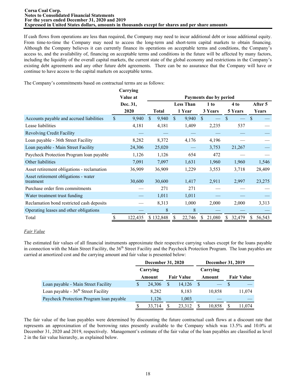If cash flows from operations are less than required, the Company may need to incur additional debt or issue additional equity. From time-to-time the Company may need to access the long-term and short-term capital markets to obtain financing. Although the Company believes it can currently finance its operations on acceptable terms and conditions, the Company's access to, and the availability of, financing on acceptable terms and conditions in the future will be affected by many factors, including the liquidity of the overall capital markets, the current state of the global economy and restrictions in the Company's existing debt agreements and any other future debt agreements. There can be no assurance that the Company will have or continue to have access to the capital markets on acceptable terms.

The Company's commitments based on contractual terms are as follows:

|                                                   |              | Carrying |                   |     |                  |          |                        |             |               |         |
|---------------------------------------------------|--------------|----------|-------------------|-----|------------------|----------|------------------------|-------------|---------------|---------|
|                                                   |              | Value at |                   |     |                  |          | Payments due by period |             |               |         |
|                                                   |              | Dec. 31, |                   |     | <b>Less Than</b> |          | 1 to                   | 4 to        |               | After 5 |
|                                                   |              | 2020     | <b>Total</b>      |     | 1 Year           |          | 3 Years                | 5 Years     |               | Years   |
| Accounts payable and accrued liabilities          | $\mathbf{s}$ | 9,940    | <b>S</b><br>9,940 | \$. | 9,940            | <b>S</b> |                        |             | <sup>\$</sup> |         |
| Lease liabilities                                 |              | 4,181    | 4,181             |     | 1,409            |          | 2,235                  | 537         |               |         |
| <b>Revolving Credit Facility</b>                  |              |          |                   |     |                  |          |                        |             |               |         |
| Loan payable - 36th Street Facility               |              | 8,282    | 8,372             |     | 4,176            |          | 4,196                  |             |               |         |
| Loan payable - Main Street Facility               |              | 24,306   | 25,020            |     |                  |          | 3,753                  | 21,267      |               |         |
| Paycheck Protection Program loan payable          |              | 1,126    | 1,126             |     | 654              |          | 472                    |             |               |         |
| Other liabilities                                 |              | 7,091    | 7,097             |     | 1,631            |          | 1,960                  | 1,960       |               | 1,546   |
| Asset retirement obligations - reclamation        |              | 36,909   | 36,909            |     | 1,229            |          | 3,553                  | 3,718       |               | 28,409  |
| Asset retirement obligations - water<br>treatment |              | 30,600   | 30,600            |     | 1,417            |          | 2,911                  | 2,997       |               | 23,275  |
| Purchase order firm commitments                   |              |          | 271               |     | 271              |          |                        |             |               |         |
| Water treatment trust funding                     |              |          | 1,011             |     | 1,011            |          |                        |             |               |         |
| Reclamation bond restricted cash deposits         |              |          | 8,313             |     | 1,000            |          | 2,000                  | 2,000       |               | 3,313   |
| Operating leases and other obligations            |              |          | 8                 |     | 8                |          |                        |             |               |         |
| Total                                             | S            | 122,435  | \$132,848         | S   | 22,746           | S        | 21,080                 | 32,479<br>S | S             | 56,543  |

# *Fair Value*

The estimated fair values of all financial instruments approximate their respective carrying values except for the loans payable in connection with the Main Street Facility, the 36<sup>th</sup> Street Facility and the Paycheck Protection Program. The loan payables are carried at amortized cost and the carrying amount and fair value is presented below:

|                                          | <b>December 31, 2020</b> |          |   |                   |  | <b>December 31, 2019</b> |    |                   |  |  |
|------------------------------------------|--------------------------|----------|---|-------------------|--|--------------------------|----|-------------------|--|--|
|                                          |                          | Carrying |   |                   |  | Carrying                 |    |                   |  |  |
|                                          |                          | Amount   |   | <b>Fair Value</b> |  | Amount                   |    | <b>Fair Value</b> |  |  |
| Loan payable - Main Street Facility      | S                        | 24,306   | S | 14,126            |  |                          | -S |                   |  |  |
| Loan payable - $36th$ Street Facility    |                          | 8,282    |   | 8.183             |  | 10.858                   |    | 11,074            |  |  |
| Paycheck Protection Program Ioan payable |                          | 1,126    |   | 1,003             |  |                          |    |                   |  |  |
|                                          |                          | 33.714   | S | 23,312            |  | 10,858                   |    | 11,074            |  |  |

The fair value of the loan payables were determined by discounting the future contractual cash flows at a discount rate that represents an approximation of the borrowing rates presently available to the Company which was 13.5% and 10.0% at December 31, 2020 and 2019, respectively. Management's estimate of the fair value of the loan payables are classified as level 2 in the fair value hierarchy, as explained below.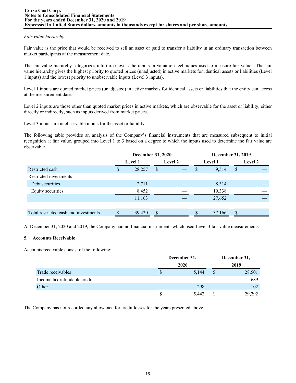# *Fair value hierarchy*

Fair value is the price that would be received to sell an asset or paid to transfer a liability in an ordinary transaction between market participants at the measurement date.

The fair value hierarchy categorizes into three levels the inputs in valuation techniques used to measure fair value. The fair value hierarchy gives the highest priority to quoted prices (unadjusted) in active markets for identical assets or liabilities (Level 1 inputs) and the lowest priority to unobservable inputs (Level 3 inputs).

Level 1 inputs are quoted market prices (unadjusted) in active markets for identical assets or liabilities that the entity can access at the measurement date.

Level 2 inputs are those other than quoted market prices in active markets, which are observable for the asset or liability, either directly or indirectly, such as inputs derived from market prices.

Level 3 inputs are unobservable inputs for the asset or liability.

The following table provides an analysis of the Company's financial instruments that are measured subsequent to initial recognition at fair value, grouped into Level 1 to 3 based on a degree to which the inputs used to determine the fair value are observable.

|                                       | <b>December 31, 2020</b> |        |   |         |   | <b>December 31, 2019</b> |         |  |  |  |
|---------------------------------------|--------------------------|--------|---|---------|---|--------------------------|---------|--|--|--|
|                                       | Level 1                  |        |   | Level 2 |   | Level 1                  | Level 2 |  |  |  |
| Restricted cash                       | \$                       | 28,257 | S |         | S | 9,514                    | S       |  |  |  |
| Restricted investments                |                          |        |   |         |   |                          |         |  |  |  |
| Debt securities                       |                          | 2,711  |   |         |   | 8,314                    |         |  |  |  |
| Equity securities                     |                          | 8,452  |   |         |   | 19,338                   |         |  |  |  |
|                                       |                          | 11,163 |   |         |   | 27,652                   |         |  |  |  |
|                                       |                          |        |   |         |   |                          |         |  |  |  |
| Total restricted cash and investments |                          | 39,420 |   |         |   | 37,166                   |         |  |  |  |

At December 31, 2020 and 2019, the Company had no financial instruments which used Level 3 fair value measurements.

# **5. Accounts Receivable**

Accounts receivable consist of the following:

|                              |    | December 31, |      | December 31, |  |  |
|------------------------------|----|--------------|------|--------------|--|--|
|                              |    | 2020         | 2019 |              |  |  |
| Trade receivables            | J. | 5,144        |      | 28,501       |  |  |
| Income tax refundable credit |    |              |      | 689          |  |  |
| Other                        |    | 298          |      | 102          |  |  |
|                              |    | 5.442        |      | 29,292       |  |  |

The Company has not recorded any allowance for credit losses for the years presented above.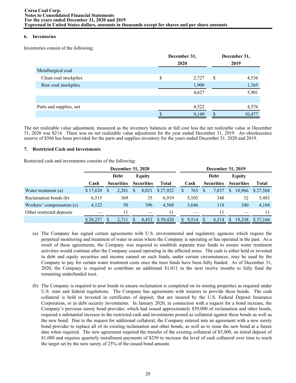# **6. Inventories**

Inventories consist of the following:

|                         | December 31,<br>2020 | December 31,<br>2019 |        |  |  |
|-------------------------|----------------------|----------------------|--------|--|--|
| Metallurgical coal      |                      |                      |        |  |  |
| Clean coal stockpiles   | \$<br>2,727          | \$                   | 4,536  |  |  |
| Raw coal stockpiles     | 1,900                |                      | 1,365  |  |  |
|                         | 4,627                |                      | 5,901  |  |  |
|                         |                      |                      |        |  |  |
| Parts and supplies, net | 4,522                |                      | 4,576  |  |  |
|                         | 9,149                |                      | 10,477 |  |  |

The net realizable value adjustment, measured as the inventory balances at full cost less the net realizable value at December 31, 2020 was \$214. There was no net realizable value adjustment for the year ended December 31, 2019. An obsolescence reserve of \$566 has been provided for the parts and supplies inventory for the years ended December 31, 2020 and 2019.

# **7. Restricted Cash and Investments**

Restricted cash and investments consists of the following:

|                           |          | <b>December 31, 2020</b> |                   |     |                   |              |     | December 31, 2019 |          |                   |               |                   |          |  |  |
|---------------------------|----------|--------------------------|-------------------|-----|-------------------|--------------|-----|-------------------|----------|-------------------|---------------|-------------------|----------|--|--|
|                           |          |                          | Debt              |     | Equity            |              |     |                   |          | Debt              |               | Equity            |          |  |  |
|                           | Cash     |                          | <b>Securities</b> |     | <b>Securities</b> | <b>Total</b> |     | Cash              |          | <b>Securities</b> |               | <b>Securities</b> | Total    |  |  |
| Water treatment (a)       | \$17,620 | S                        | 1.281             | S   | 8.021             | \$27,922     | \$. | 765               | S        | 7.837             | \$            | 18,966            | \$27,568 |  |  |
| Reclamation bonds (b)     | 6,515    |                          | 369               |     | 35                | 6,919        |     | 5,103             |          | 348               |               | 32                | 5,483    |  |  |
| Workers' compensation (c) | 4,122    |                          | 50                |     | 396               | 4.568        |     | 3,646             |          | 118               |               | 340               | 4,104    |  |  |
| Other restricted deposits |          |                          | 11                |     |                   | 11           |     |                   |          | 11                |               |                   | 11       |  |  |
|                           | \$28,257 |                          | 2,711             | \$. | 8,452             | \$39,420     | S.  | 9.514             | <b>S</b> | 8,314             | <sup>\$</sup> | 19,338            | \$37,166 |  |  |

- (a) The Company has signed certain agreements with U.S. environmental and regulatory agencies which require the perpetual monitoring and treatment of water in areas where the Company is operating or has operated in the past. As a result of these agreements, the Company was required to establish separate trust funds to ensure water treatment activities would continue after the Company ceased operating in the affected areas. The cash is either held or invested in debt and equity securities and income earned on such funds, under certain circumstances, may be used by the Company to pay for certain water treatment costs once the trust funds have been fully funded. As of December 31, 2020, the Company is required to contribute an additional \$1,011 in the next twelve months to fully fund the remaining underfunded trust.
- (b) The Company is required to post bonds to ensure reclamation is completed on its mining properties as required under U.S. state and federal regulations. The Company has agreements with insurers to provide these bonds. The cash collateral is held or invested in certificates of deposit, that are insured by the U.S. Federal Deposit Insurance Corporation, or in debt security investments. In January 2020, in connection with a request for a bond increase, the Company's previous surety bond provider, which had issued approximately \$59,000 of reclamation and other bonds, required a substantial increase in the restricted cash and investments posted as collateral against these bonds as well as the new bond. Due to the request for additional collateral, the Company entered into an agreement with a new surety bond provider to replace all of its existing reclamation and other bonds, as well as to issue the new bond at a future date when required. The new agreement required the transfer of the existing collateral of \$5,000, an initial deposit of \$1,000 and requires quarterly installment payments of \$250 to increase the level of cash collateral over time to reach the target set by the new surety of 25% of the issued bond amount.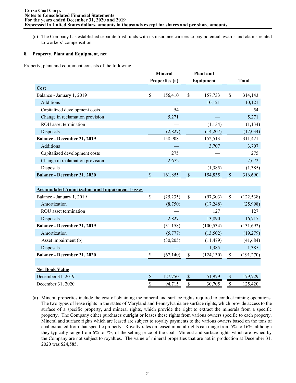(c) The Company has established separate trust funds with its insurance carriers to pay potential awards and claims related to workers' compensation.

### **8. Property, Plant and Equipment, net**

Property, plant and equipment consists of the following:

|                                                       |                    | <b>Mineral</b> |             | <b>Plant</b> and |                           |              |
|-------------------------------------------------------|--------------------|----------------|-------------|------------------|---------------------------|--------------|
|                                                       |                    | Properties (a) |             | Equipment        |                           | <b>Total</b> |
| Cost                                                  |                    |                |             |                  |                           |              |
| Balance - January 1, 2019                             | $\mathbb{S}$       | 156,410        | \$          | 157,733          | \$                        | 314,143      |
| Additions                                             |                    |                |             | 10,121           |                           | 10,121       |
| Capitalized development costs                         |                    | 54             |             |                  |                           | 54           |
| Change in reclamation provision                       |                    | 5,271          |             |                  |                           | 5,271        |
| ROU asset termination                                 |                    |                |             | (1, 134)         |                           | (1, 134)     |
| Disposals                                             |                    | (2,827)        |             | (14,207)         |                           | (17, 034)    |
| <b>Balance - December 31, 2019</b>                    |                    | 158,908        |             | 152,513          |                           | 311,421      |
| Additions                                             |                    |                |             | 3,707            |                           | 3,707        |
| Capitalized development costs                         |                    | 275            |             |                  |                           | 275          |
| Change in reclamation provision                       |                    | 2,672          |             |                  |                           | 2,672        |
| Disposals                                             |                    |                |             | (1, 385)         |                           | (1,385)      |
| <b>Balance - December 31, 2020</b>                    | $\mathbb{S}$       | 161,855        | $\mathbb S$ | 154,835          | $\mathcal{S}$             | 316,690      |
|                                                       |                    |                |             |                  |                           |              |
| <b>Accumulated Amortization and Impairment Losses</b> |                    |                |             |                  |                           |              |
| Balance - January 1, 2019                             | $\$$               | (25, 235)      | \$          | (97, 303)        | \$                        | (122, 538)   |
| Amortization                                          |                    | (8,750)        |             | (17,248)         |                           | (25,998)     |
| ROU asset termination                                 |                    |                |             | 127              |                           | 127          |
| Disposals                                             |                    | 2,827          |             | 13,890           |                           | 16,717       |
| Balance - December 31, 2019                           |                    | (31, 158)      |             | (100, 534)       |                           | (131, 692)   |
| Amortization                                          |                    | (5,777)        |             | (13,502)         |                           | (19,279)     |
| Asset impairment (b)                                  |                    | (30,205)       |             | (11, 479)        |                           | (41, 684)    |
| Disposals                                             |                    |                |             | 1,385            |                           | 1,385        |
| <b>Balance - December 31, 2020</b>                    | $\mathcal{S}$      | (67, 140)      | \$          | (124, 130)       | \$                        | (191, 270)   |
|                                                       |                    |                |             |                  |                           |              |
| <b>Net Book Value</b>                                 |                    |                |             |                  |                           |              |
| December 31, 2019                                     | $\mathcal{S}$      | 127,750        | \$          | 51,979           | $\boldsymbol{\mathsf{S}}$ | 179,729      |
| December 31, 2020                                     | $\boldsymbol{\$\}$ | 94,715         | $\mathbb S$ | 30,705           | $\mathbb S$               | 125,420      |

(a) Mineral properties include the cost of obtaining the mineral and surface rights required to conduct mining operations. The two types of lease rights in the states of Maryland and Pennsylvania are surface rights, which provide access to the surface of a specific property, and mineral rights, which provide the right to extract the minerals from a specific property. The Company either purchases outright or leases these rights from various owners specific to each property. Mineral and surface rights which are leased are subject to royalty payments to the various owners based on the tons of coal extracted from that specific property. Royalty rates on leased mineral rights can range from 5% to 16%, although they typically range from 6% to 7%, of the selling price of the coal. Mineral and surface rights which are owned by the Company are not subject to royalties. The value of mineral properties that are not in production at December 31, 2020 was \$24,585.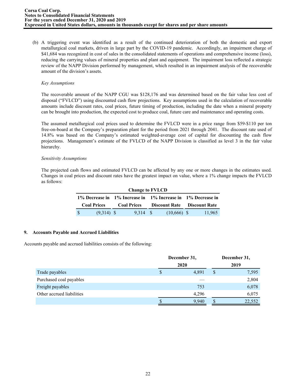(b) A triggering event was identified as a result of the continued deterioration of both the domestic and export metallurgical coal markets, driven in large part by the COVID-19 pandemic. Accordingly, an impairment charge of \$41,684 was recognized in cost of sales in the consolidated statements of operations and comprehensive income (loss), reducing the carrying values of mineral properties and plant and equipment. The impairment loss reflected a strategic review of the NAPP Division performed by management, which resulted in an impairment analysis of the recoverable amount of the division's assets.

### *Key Assumptions*

The recoverable amount of the NAPP CGU was \$128,176 and was determined based on the fair value less cost of disposal ("FVLCD") using discounted cash flow projections. Key assumptions used in the calculation of recoverable amounts include discount rates, coal prices, future timing of production, including the date when a mineral property can be brought into production, the expected cost to produce coal, future care and maintenance and operating costs.

The assumed metallurgical coal prices used to determine the FVLCD were in a price range from \$59-\$110 per ton free-on-board at the Company's preparation plant for the period from 2021 through 2041. The discount rate used of 14.8% was based on the Company's estimated weighted-average cost of capital for discounting the cash flow projections. Management's estimate of the FVLCD of the NAPP Division is classified as level 3 in the fair value hierarchy.

#### *Sensitivity Assumptions*

The projected cash flows and estimated FVLCD can be affected by any one or more changes in the estimates used. Changes in coal prices and discount rates have the greatest impact on value, where a 1% change impacts the FVLCD as follows:

|                    | <b>Change to FVLCD</b> |  |                    |  |                                                             |  |        |  |  |  |  |
|--------------------|------------------------|--|--------------------|--|-------------------------------------------------------------|--|--------|--|--|--|--|
|                    |                        |  |                    |  | 1% Decrease in 1% Increase in 1% Increase in 1% Decrease in |  |        |  |  |  |  |
| <b>Coal Prices</b> |                        |  | <b>Coal Prices</b> |  | <b>Discount Rate</b> Discount Rate                          |  |        |  |  |  |  |
| <sup>S</sup>       | $(9,314)$ \$           |  | 9.314 \$           |  | $(10,666)$ \$                                               |  | 11,965 |  |  |  |  |

# **9. Accounts Payable and Accrued Liabilities**

Accounts payable and accrued liabilities consists of the following:

|                           | December 31, |       |   | December 31, |
|---------------------------|--------------|-------|---|--------------|
|                           | 2020         |       |   | 2019         |
| Trade payables            |              | 4,891 | S | 7,595        |
| Purchased coal payables   |              |       |   | 2,804        |
| Freight payables          |              | 753   |   | 6,078        |
| Other accrued liabilities |              | 4,296 |   | 6,075        |
|                           |              | 9.940 |   | 22,552       |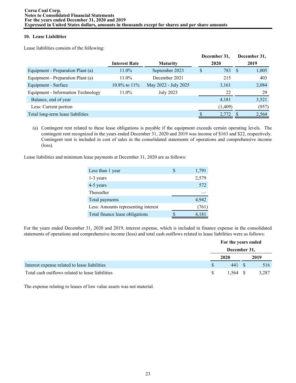# **10. Lease Liabilities**

Lease liabilities consists of the following:

|                                    |                      |                      | December 31, |      | December 31, |
|------------------------------------|----------------------|----------------------|--------------|------|--------------|
|                                    | <b>Interest Rate</b> | <b>Maturity</b>      | 2020         |      | 2019         |
| Equipment - Preparation Plant (a)  | $11.0\%$             | September 2023       | \$<br>783    | - \$ | 1,005        |
| Equipment - Preparation Plant (a)  | $11.0\%$             | December 2021        | 215          |      | 403          |
| Equipment - Surface                | $10.8\%$ to $11\%$   | May 2022 - July 2025 | 3,161        |      | 2,084        |
| Equipment - Information Technology | $11.0\%$             | <b>July 2023</b>     | 22           |      | 29           |
| Balance, end of year               |                      |                      | 4,181        |      | 3,521        |
| Less: Current portion              |                      |                      | (1,409)      |      | (957)        |
| Total long-term lease liabilities  |                      |                      | 2,772        |      | 2,564        |

(a) Contingent rent related to these lease obligations is payable if the equipment exceeds certain operating levels. The contingent rent recognized in the years ended December 31, 2020 and 2019 was income of \$163 and \$22, respectively. Contingent rent is included in cost of sales in the consolidated statements of operations and comprehensive income (loss).

Lease liabilities and minimum lease payments at December 31, 2020 are as follows:

| Less than 1 year                    | 1,791 |
|-------------------------------------|-------|
| 1-3 years                           | 2,579 |
| 4-5 years                           | 572   |
| Thereafter                          |       |
| Total payments                      | 4,942 |
| Less: Amounts representing interest | (761) |
| Total finance lease obligations     | 4,181 |

For the years ended December 31, 2020 and 2019, interest expense, which is included in finance expense in the consolidated statements of operations and comprehensive income (loss) and total cash outflows related to lease liabilities were as follows:

|                                                  | For the years ended |       |
|--------------------------------------------------|---------------------|-------|
|                                                  | December 31,        |       |
|                                                  | 2020                | 2019  |
| Interest expense related to lease liabilities    | 441 \$              | 516   |
| Total cash outflows related to lease liabilities | 1.564 S             | 3,287 |

The expense relating to leases of low value assets was not material.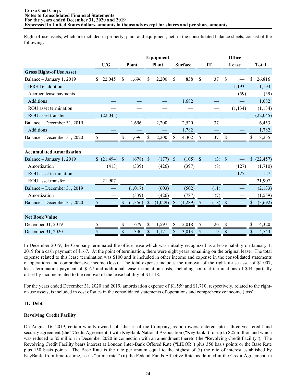Right-of-use assets, which are included in property, plant and equipment, net, in the consolidated balance sheets, consist of the following:

|                                 | Equipment                 |               |         |    |         |    |                | Office        |      |               |          |    |              |
|---------------------------------|---------------------------|---------------|---------|----|---------|----|----------------|---------------|------|---------------|----------|----|--------------|
|                                 | U/G                       |               | Plant   |    | Plant   |    | <b>Surface</b> |               | IT   |               | Lease    |    | <b>Total</b> |
| <b>Gross Right-of Use Asset</b> |                           |               |         |    |         |    |                |               |      |               |          |    |              |
| Balance – January 1, 2019       | 22,045<br>\$              | \$            | 1,696   | \$ | 2,200   | \$ | 838            | \$            | 37   | \$            |          | \$ | 26,816       |
| IFRS 16 adoption                |                           |               |         |    |         |    |                |               |      |               | 1,193    |    | 1,193        |
| Accrued lease payments          |                           |               |         |    |         |    |                |               |      |               | (59)     |    | (59)         |
| <b>Additions</b>                |                           |               |         |    |         |    | 1,682          |               |      |               |          |    | 1,682        |
| ROU asset termination           |                           |               |         |    |         |    |                |               |      |               | (1, 134) |    | (1, 134)     |
| ROU asset transfer              | (22,045)                  |               |         |    |         |    |                |               |      |               |          |    | (22, 045)    |
| Balance – December 31, 2019     |                           |               | 1,696   |    | 2,200   |    | 2,520          |               | 37   |               |          |    | 6,453        |
| <b>Additions</b>                |                           |               |         |    |         |    | 1,782          |               |      |               |          |    | 1,782        |
| Balance - December 31, 2020     | $\boldsymbol{\mathsf{S}}$ |               | 1,696   | \$ | 2,200   | S  | 4,302          |               | 37   | S             |          | S  | 8,235        |
|                                 |                           |               |         |    |         |    |                |               |      |               |          |    |              |
| <b>Accumulated Amortization</b> |                           |               |         |    |         |    |                |               |      |               |          |    |              |
| Balance - January 1, 2019       | (21, 494)                 | $\mathcal{S}$ | (678)   | \$ | (177)   | \$ | (105)          | $\mathcal{S}$ | (3)  | $\mathcal{S}$ |          | \$ | (22, 457)    |
| Amortization                    | (413)                     |               | (339)   |    | (426)   |    | (397)          |               | (8)  |               | (127)    |    | (1,710)      |
| ROU asset termination           |                           |               |         |    |         |    |                |               |      |               | 127      |    | 127          |
| ROU asset transfer              | 21,907                    |               |         |    |         |    |                |               |      |               |          |    | 21,907       |
| Balance - December 31, 2019     |                           |               | (1,017) |    | (603)   |    | (502)          |               | (11) |               |          |    | (2, 133)     |
| Amortization                    |                           |               | (339)   |    | (426)   |    | (787)          |               | (7)  |               |          |    | (1, 559)     |
| Balance - December 31, 2020     | \$                        |               | (1,356) | S  | (1,029) | S  | (1,289)        | \$            | (18) | <sup>S</sup>  |          | \$ | (3,692)      |
|                                 |                           |               |         |    |         |    |                |               |      |               |          |    |              |
| <b>Net Book Value</b>           |                           |               |         |    |         |    |                |               |      |               |          |    |              |
| December 31, 2019               | \$                        | \$            | 679     | \$ | 1,597   | S  | 2,018          | \$            | 26   | S             |          | \$ | 4,320        |
| December 31, 2020               | \$                        | \$            | 340     | \$ | 1,171   | \$ | 3,013          | \$            | 19   | \$            |          | \$ | 4,543        |

In December 2019, the Company terminated the office lease which was initially recognized as a lease liability on January 1, 2019 for a cash payment of \$167. At the point of termination, there were eight years remaining on the original lease. The total expense related to this lease termination was \$100 and is included in other income and expense in the consolidated statements of operations and comprehensive income (loss). The total expense includes the removal of the right-of-use asset of \$1,007, lease termination payment of \$167 and additional lease termination costs, including contract terminations of \$44, partially offset by income related to the removal of the lease liability of \$1,118.

For the years ended December 31, 2020 and 2019, amortization expense of \$1,559 and \$1,710, respectively, related to the rightof-use assets, is included in cost of sales in the consolidated statements of operations and comprehensive income (loss).

# **11. Debt**

# **Revolving Credit Facility**

On August 16, 2019, certain wholly-owned subsidiaries of the Company, as borrowers, entered into a three-year credit and security agreement (the "Credit Agreement") with KeyBank National Association ("KeyBank") for up to \$25 million and which was reduced to \$5 million in December 2020 in connection with an amendment thereto (the "Revolving Credit Facility"). The Revolving Credit Facility bears interest at London Inter-Bank Offered Rate ("LIBOR") plus 350 basis points or the Base Rate plus 150 basis points. The Base Rate is the rate per annum equal to the highest of (i) the rate of interest established by KeyBank, from time-to-time, as its "prime rate," (ii) the Federal Funds Effective Rate, as defined in the Credit Agreement, in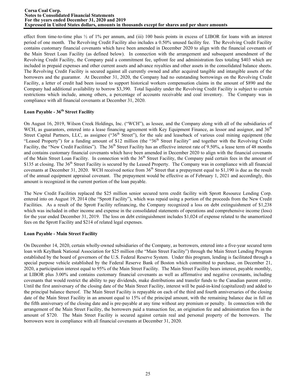effect from time-to-time plus  $\frac{1}{2}$  of 1% per annum, and (iii) 100 basis points in excess of LIBOR for loans with an interest period of one month. The Revolving Credit Facility also includes a 0.50% unused facility fee. The Revolving Credit Facility contains customary financial covenants which have been amended in December 2020 to align with the financial covenants of the Main Street Loan Facility (as defined below). In connection with the arrangement and subsequent amendment of the Revolving Credit Facility, the Company paid a commitment fee, upfront fee and administration fees totaling \$403 which are included in prepaid expenses and other current assets and advance royalties and other assets in the consolidated balance sheets. The Revolving Credit Facility is secured against all currently owned and after acquired tangible and intangible assets of the borrowers and the guarantor. At December 31, 2020, the Company had no outstanding borrowings on the Revolving Credit Facility, a letter of credit had been issued to support historical workers compensation claims in the amount of \$890 and the Company had additional availability to borrow \$3,390. Total liquidity under the Revolving Credit Facility is subject to certain restrictions which include, among others, a percentage of accounts receivable and coal inventory. The Company was in compliance with all financial covenants at December 31, 2020.

# **Loan Payable - 36th Street Facility**

On August 16, 2019, Wilson Creek Holdings, Inc. ("WCH"), as lessee, and the Company along with all of the subsidiaries of WCH, as guarantors, entered into a lease financing agreement with Key Equipment Finance, as lessor and assignor, and 36<sup>th</sup> Street Capital Partners, LLC, as assignee ("36<sup>th</sup> Street"), for the sale and leaseback of various coal mining equipment (the "Leased Property") for a funding amount of \$12 million (the "36<sup>th</sup> Street Facility" and together with the Revolving Credit Facility, the "New Credit Facilities"). The 36<sup>th</sup> Street Facility has an effective interest rate of 9.50%, a lease term of 48 months and contains customary financial covenants which have been amended in December 2020 to align with the financial covenants of the Main Street Loan Facility. In connection with the 36<sup>th</sup> Street Facility, the Company paid certain fees in the amount of \$135 at closing. The 36<sup>th</sup> Street Facility is secured by the Leased Property. The Company was in compliance with all financial covenants at December 31, 2020. WCH received notice from 36<sup>th</sup> Street that a prepayment equal to \$1,190 is due as the result of the annual equipment appraisal covenant. The prepayment would be effective as of February 1, 2021 and accordingly, this amount is recognized in the current portion of the loan payable.

The New Credit Facilities replaced the \$25 million senior secured term credit facility with Sprott Resource Lending Corp. entered into on August 19, 2014 (the "Sprott Facility"), which was repaid using a portion of the proceeds from the New Credit Facilities. As a result of the Sprott Facility refinancing, the Company recognized a loss on debt extinguishment of \$1,238 which was included in other income and expense in the consolidated statements of operations and comprehensive income (loss) for the year ended December 31, 2019. The loss on debt extinguishment includes \$1,024 of expense related to the unamortized fees on the Sprott Facility and \$214 of related legal expenses.

# **Loan Payable - Main Street Facility**

On December 14, 2020, certain wholly-owned subsidiaries of the Company, as borrowers, entered into a five-year secured term loan with KeyBank National Association for \$25 million (the "Main Street Facility") through the Main Street Lending Program established by the board of governors of the U.S. Federal Reserve System. Under this program, lending is facilitated through a special purpose vehicle established by the Federal Reserve Bank of Boston which committed to purchase, on December 21, 2020, a participation interest equal to 95% of the Main Street Facility. The Main Street Facility bears interest, payable monthly, at LIBOR plus 3.00% and contains customary financial covenants as well as affirmative and negative covenants, including covenants that would restrict the ability to pay dividends, make distributions and transfer funds to the Canadian parent entity. Until the first anniversary of the closing date of the Main Street Facility, interest will be paid-in-kind (capitalized) and added to the principal balance thereof. The Main Street Facility is repayable on each of the third and fourth anniversaries of the closing date of the Main Street Facility in an amount equal to 15% of the principal amount, with the remaining balance due in full on the fifth anniversary of the closing date and is pre-payable at any time without any premium or penalty. In connection with the arrangement of the Main Street Facility, the borrowers paid a transaction fee, an origination fee and administration fees in the amount of \$720. The Main Street Facility is secured against certain real and personal property of the borrowers. The borrowers were in compliance with all financial covenants at December 31, 2020.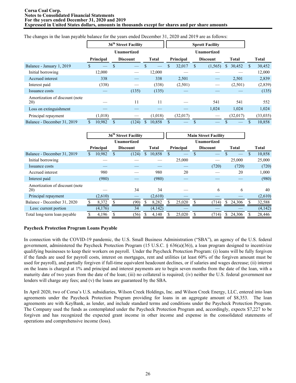|                                        | 36 <sup>th</sup> Street Facility |                          |               |                          |  | <b>Sprott Facility</b> |    |           |   |                    |              |              |               |              |
|----------------------------------------|----------------------------------|--------------------------|---------------|--------------------------|--|------------------------|----|-----------|---|--------------------|--------------|--------------|---------------|--------------|
|                                        |                                  |                          |               | <b>Unamortized</b>       |  |                        |    |           |   | <b>Unamortized</b> |              |              |               |              |
|                                        |                                  | Principal                |               | <b>Discount</b>          |  | <b>Total</b>           |    | Principal |   | <b>Discount</b>    |              | <b>Total</b> |               | <b>Total</b> |
| Balance - January 1, 2019              | \$                               | $\overline{\phantom{0}}$ | <sup>\$</sup> | $\overline{\phantom{0}}$ |  |                        | \$ | 32,017    | S | (1, 565)           | <sup>S</sup> | 30,452       | <sup>\$</sup> | 30,452       |
| Initial borrowing                      |                                  | 12,000                   |               |                          |  | 12,000                 |    |           |   |                    |              |              |               | 12,000       |
| Accrued interest                       |                                  | 338                      |               |                          |  | 338                    |    | 2,501     |   |                    |              | 2,501        |               | 2,839        |
| Interest paid                          |                                  | (338)                    |               |                          |  | (338)                  |    | (2,501)   |   |                    |              | (2,501)      |               | (2,839)      |
| Issuance costs                         |                                  |                          |               | (135)                    |  | (135)                  |    |           |   |                    |              |              |               | (135)        |
| Amortization of discount (note)<br>20) |                                  |                          |               | 11                       |  | 11                     |    |           |   | 541                |              | 541          |               | 552          |
| Loss on extinguishment                 |                                  |                          |               |                          |  |                        |    |           |   | 1,024              |              | 1,024        |               | 1,024        |
| Principal repayment                    |                                  | (1,018)                  |               |                          |  | (1,018)                |    | (32,017)  |   |                    |              | (32,017)     |               | (33, 035)    |
| Balance - December 31, 2019            | \$                               | 10,982                   |               | (124)                    |  | 10,858                 | S  |           |   |                    |              |              |               | 10,858       |

The changes in the loan payable balance for the years ended December 31, 2020 and 2019 are as follows:

|                                        |              |   | 36 <sup>th</sup> Street Facility |    | <b>Main Street Facility</b> |   |           |  |                    |     |              |   |          |
|----------------------------------------|--------------|---|----------------------------------|----|-----------------------------|---|-----------|--|--------------------|-----|--------------|---|----------|
|                                        |              |   | <b>Unamortized</b>               |    |                             |   |           |  | <b>Unamortized</b> |     |              |   |          |
|                                        | Principal    |   | <b>Discount</b>                  |    | <b>Total</b>                |   | Principal |  | <b>Discount</b>    |     | <b>Total</b> |   | Total    |
| Balance - December 31, 2019            | \$<br>10,982 | S | (124)                            | \$ | 10,858                      | S |           |  |                    |     |              | S | 10,858   |
| Initial borrowing                      |              |   |                                  |    |                             |   | 25,000    |  |                    |     | 25,000       |   | 25,000   |
| Issuance costs                         |              |   |                                  |    |                             |   |           |  | (720)              |     | (720)        |   | (720)    |
| Accrued interest                       | 980          |   |                                  |    | 980                         |   | 20        |  |                    |     | 20           |   | 1,000    |
| Interest paid                          | (980)        |   |                                  |    | (980)                       |   |           |  |                    |     |              |   | (980)    |
| Amortization of discount (note)<br>20) |              |   | 34                               |    | 34                          |   |           |  | 6                  |     | 6            |   | 40       |
| Principal repayment                    | (2,610)      |   |                                  |    | (2,610)                     |   |           |  |                    |     |              |   | (2,610)  |
| Balance - December 31, 2020            | 8,372        |   | (90)                             |    | 8,282                       |   | 25,020    |  | (714)              | \$. | 24.306       |   | 32,588   |
| Less: current portion                  | (4,176)      |   | 34                               |    | (4, 142)                    |   |           |  |                    |     |              |   | (4, 142) |
| Total long-term loan payable           | 4,196        |   | (56)                             |    | 4,140                       |   | 25,020    |  | (714)              | \$  | 24,306       |   | 28,446   |

# **Paycheck Protection Program Loans Payable**

In connection with the COVID-19 pandemic, the U.S. Small Business Administration ("SBA"), an agency of the U.S. federal government, administered the Paycheck Protection Program (15 U.S.C. § 636(a)(36)), a loan program designed to incentivize qualifying businesses to keep their workers on payroll. Under the Paycheck Protection Program: (i) loans will be fully forgiven if the funds are used for payroll costs, interest on mortgages, rent and utilities (at least 60% of the forgiven amount must be used for payroll), and partially forgiven if full-time equivalent headcount declines, or if salaries and wages decrease; (ii) interest on the loans is charged at 1% and principal and interest payments are to begin seven months from the date of the loan, with a maturity date of two years from the date of the loan; (iii) no collateral is required; (iv) neither the U.S. federal government nor lenders will charge any fees; and (v) the loans are guaranteed by the SBA.

In April 2020, two of Corsa's U.S. subsidiaries, Wilson Creek Holdings, Inc. and Wilson Creek Energy, LLC, entered into loan agreements under the Paycheck Protection Program providing for loans in an aggregate amount of \$8,353. The loan agreements are with KeyBank, as lender, and include standard terms and conditions under the Paycheck Protection Program. The Company used the funds as contemplated under the Paycheck Protection Program and, accordingly, expects \$7,227 to be forgiven and has recognized the expected grant income in other income and expense in the consolidated statements of operations and comprehensive income (loss).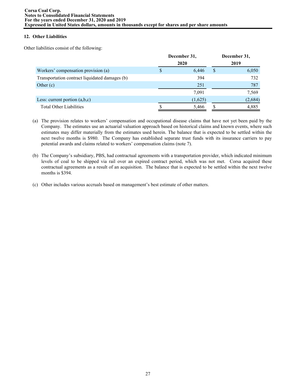# **12. Other Liabilities**

Other liabilities consist of the following:

|                                                | December 31, | December 31, |
|------------------------------------------------|--------------|--------------|
|                                                | 2020         | 2019         |
| Workers' compensation provision (a)            | 6.446        | 6,050        |
| Transportation contract liquidated damages (b) | 394          | 732          |
| Other $(c)$                                    | 251          | 787          |
|                                                | 7,091        | 7,569        |
| Less: current portion $(a,b,c)$                | (1,625)      | (2, 684)     |
| <b>Total Other Liabilities</b>                 | 5,466        | 4,885        |

- (a) The provision relates to workers' compensation and occupational disease claims that have not yet been paid by the Company. The estimates use an actuarial valuation approach based on historical claims and known events, where such estimates may differ materially from the estimates used herein. The balance that is expected to be settled within the next twelve months is \$980. The Company has established separate trust funds with its insurance carriers to pay potential awards and claims related to workers' compensation claims (note 7).
- (b) The Company's subsidiary, PBS, had contractual agreements with a transportation provider, which indicated minimum levels of coal to be shipped via rail over an expired contract period, which was not met. Corsa acquired these contractual agreements as a result of an acquisition. The balance that is expected to be settled within the next twelve months is \$394.
- (c) Other includes various accruals based on management's best estimate of other matters.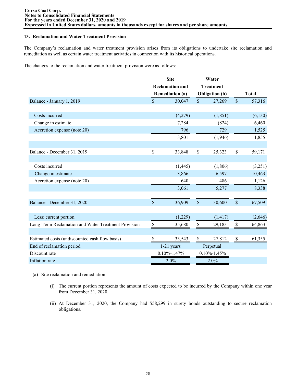#### **13. Reclamation and Water Treatment Provision**

The Company's reclamation and water treatment provision arises from its obligations to undertake site reclamation and remediation as well as certain water treatment activities in connection with its historical operations.

The changes to the reclamation and water treatment provision were as follows:

|                                                     |                    | <b>Site</b>            |               | Water                 |               |              |
|-----------------------------------------------------|--------------------|------------------------|---------------|-----------------------|---------------|--------------|
|                                                     |                    | <b>Reclamation and</b> |               | <b>Treatment</b>      |               |              |
|                                                     |                    | <b>Remediation (a)</b> |               | <b>Obligation</b> (b) |               | <b>Total</b> |
| Balance - January 1, 2019                           | $\mathbf{\hat{S}}$ | 30,047                 | $\mathsf{\$}$ | 27,269                | $\mathsf{\$}$ | 57,316       |
|                                                     |                    |                        |               |                       |               |              |
| Costs incurred                                      |                    | (4,279)                |               | (1, 851)              |               | (6, 130)     |
| Change in estimate                                  |                    | 7,284                  |               | (824)                 |               | 6,460        |
| Accretion expense (note 20)                         |                    | 796                    |               | 729                   |               | 1,525        |
|                                                     |                    | 3,801                  |               | (1,946)               |               | 1,855        |
|                                                     |                    |                        |               |                       |               |              |
| Balance - December 31, 2019                         | \$                 | 33,848                 | \$            | 25,323                | \$            | 59,171       |
|                                                     |                    |                        |               |                       |               |              |
| Costs incurred                                      |                    | (1, 445)               |               | (1,806)               |               | (3,251)      |
| Change in estimate                                  |                    | 3,866                  |               | 6,597                 |               | 10,463       |
| Accretion expense (note 20)                         |                    | 640                    |               | 486                   |               | 1,126        |
|                                                     |                    | 3,061                  |               | 5,277                 |               | 8,338        |
|                                                     |                    |                        |               |                       |               |              |
| Balance - December 31, 2020                         | $\mathbf{\hat{S}}$ | 36,909                 | $\mathbf S$   | 30,600                | $\mathsf{\$}$ | 67,509       |
|                                                     |                    |                        |               |                       |               |              |
| Less: current portion                               |                    | (1,229)                |               | (1, 417)              |               | (2,646)      |
| Long-Term Reclamation and Water Treatment Provision | \$                 | 35,680                 | $\mathbb{S}$  | 29,183                | $\$$          | 64,863       |
|                                                     |                    |                        |               |                       |               |              |
| Estimated costs (undiscounted cash flow basis)      | S                  | 33,543                 | \$            | 27,812                | \$            | 61,355       |
| End of reclamation period                           |                    | $1-21$ years           | Perpetual     |                       |               |              |
| Discount rate                                       |                    | $0.10\% - 1.47\%$      |               | $0.10\% - 1.45\%$     |               |              |
| Inflation rate                                      |                    | 2.0%                   |               | 2.0%                  |               |              |

- (a) Site reclamation and remediation
	- (i) The current portion represents the amount of costs expected to be incurred by the Company within one year from December 31, 2020.
	- (ii) At December 31, 2020, the Company had \$58,299 in surety bonds outstanding to secure reclamation obligations.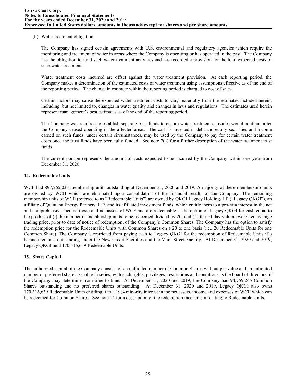# (b) Water treatment obligation

The Company has signed certain agreements with U.S. environmental and regulatory agencies which require the monitoring and treatment of water in areas where the Company is operating or has operated in the past. The Company has the obligation to fund such water treatment activities and has recorded a provision for the total expected costs of such water treatment.

Water treatment costs incurred are offset against the water treatment provision. At each reporting period, the Company makes a determination of the estimated costs of water treatment using assumptions effective as of the end of the reporting period. The change in estimate within the reporting period is charged to cost of sales.

Certain factors may cause the expected water treatment costs to vary materially from the estimates included herein, including, but not limited to, changes in water quality and changes in laws and regulations. The estimates used herein represent management's best estimates as of the end of the reporting period.

The Company was required to establish separate trust funds to ensure water treatment activities would continue after the Company ceased operating in the affected areas. The cash is invested in debt and equity securities and income earned on such funds, under certain circumstances, may be used by the Company to pay for certain water treatment costs once the trust funds have been fully funded. See note 7(a) for a further description of the water treatment trust funds.

The current portion represents the amount of costs expected to be incurred by the Company within one year from December 31, 2020.

# **14. Redeemable Units**

WCE had 897,265,035 membership units outstanding at December 31, 2020 and 2019. A majority of these membership units are owned by WCH which are eliminated upon consolidation of the financial results of the Company. The remaining membership units of WCE (referred to as "Redeemable Units") are owned by QKGI Legacy Holdings LP ("Legacy QKGI"), an affiliate of Quintana Energy Partners, L.P. and its affiliated investment funds, which entitle them to a pro-rata interest in the net and comprehensive income (loss) and net assets of WCE and are redeemable at the option of Legacy QKGI for cash equal to the product of (i) the number of membership units to be redeemed divided by 20; and (ii) the 10-day volume weighted average trading price, prior to date of notice of redemption, of the Company's Common Shares. The Company has the option to satisfy the redemption price for the Redeemable Units with Common Shares on a 20 to one basis (i.e., 20 Redeemable Units for one Common Share). The Company is restricted from paying cash to Legacy QKGI for the redemption of Redeemable Units if a balance remains outstanding under the New Credit Facilities and the Main Street Facility. At December 31, 2020 and 2019, Legacy QKGI held 170,316,639 Redeemable Units.

# **15. Share Capital**

The authorized capital of the Company consists of an unlimited number of Common Shares without par value and an unlimited number of preferred shares issuable in series, with such rights, privileges, restrictions and conditions as the board of directors of the Company may determine from time to time. At December 31, 2020 and 2019, the Company had 94,759,245 Common Shares outstanding and no preferred shares outstanding. At December 31, 2020 and 2019, Legacy QKGI also owns 170,316,639 Redeemable Units entitling it to a 19% minority interest in the net assets, income and expenses of WCE which can be redeemed for Common Shares. See note 14 for a description of the redemption mechanism relating to Redeemable Units.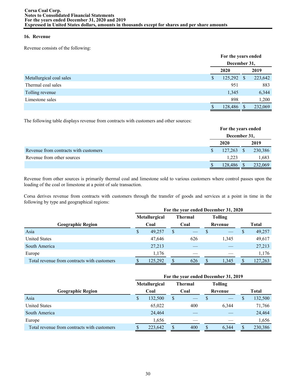# **16. Revenue**

Revenue consists of the following:

|                          | For the years ended |              |              |         |  |  |
|--------------------------|---------------------|--------------|--------------|---------|--|--|
|                          |                     | December 31, |              |         |  |  |
|                          |                     | 2020         |              | 2019    |  |  |
| Metallurgical coal sales | S                   | 125,292      | <sup>S</sup> | 223,642 |  |  |
| Thermal coal sales       |                     | 951          |              | 883     |  |  |
| Tolling revenue          |                     | 1,345        |              | 6,344   |  |  |
| Limestone sales          |                     | 898          |              | 1,200   |  |  |
|                          |                     | 128,486      |              | 232,069 |  |  |

The following table displays revenue from contracts with customers and other sources:

|                                       | For the years ended |         |              |         |
|---------------------------------------|---------------------|---------|--------------|---------|
|                                       | December 31,        |         |              |         |
|                                       |                     | 2020    |              | 2019    |
| Revenue from contracts with customers |                     | 127,263 | <sup>S</sup> | 230,386 |
| Revenue from other sources            |                     | 1.223   |              | 1,683   |
|                                       |                     | 128,486 |              | 232,069 |

Revenue from other sources is primarily thermal coal and limestone sold to various customers where control passes upon the loading of the coal or limestone at a point of sale transaction.

Corsa derives revenue from contracts with customers through the transfer of goods and services at a point in time in the following by type and geographical regions:

|                                             | For the year ended December 31, 2020 |               |      |                |         |                |  |              |  |
|---------------------------------------------|--------------------------------------|---------------|------|----------------|---------|----------------|--|--------------|--|
|                                             |                                      | Metallurgical |      | <b>Thermal</b> |         | <b>Tolling</b> |  |              |  |
| <b>Geographic Region</b>                    | Coal                                 |               | Coal |                | Revenue |                |  | <b>Total</b> |  |
| Asia                                        | \$                                   | 49,257        | S    |                |         |                |  | 49,257       |  |
| <b>United States</b>                        |                                      | 47,646        |      | 626            |         | 1.345          |  | 49,617       |  |
| South America                               |                                      | 27,213        |      |                |         |                |  | 27,213       |  |
| Europe                                      |                                      | 1,176         |      |                |         |                |  | 1,176        |  |
| Total revenue from contracts with customers |                                      | 125,292       |      | 626            |         | 1,345          |  | 127,263      |  |

|                                             | For the year ended December 31, 2019 |         |                |     |                |       |   |         |
|---------------------------------------------|--------------------------------------|---------|----------------|-----|----------------|-------|---|---------|
|                                             | <b>Metallurgical</b>                 |         | <b>Thermal</b> |     | <b>Tolling</b> |       |   |         |
| <b>Geographic Region</b>                    | Coal                                 |         | Coal           |     | Revenue        |       |   | Total   |
| Asia                                        | \$                                   | 132,500 | \$             |     | S              |       | S | 132,500 |
| <b>United States</b>                        |                                      | 65,022  |                | 400 |                | 6.344 |   | 71,766  |
| South America                               |                                      | 24,464  |                |     |                |       |   | 24,464  |
| Europe                                      |                                      | 1,656   |                |     |                |       |   | 1,656   |
| Total revenue from contracts with customers |                                      | 223,642 |                | 400 |                | 6,344 |   | 230,386 |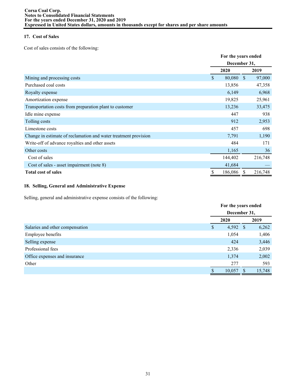# **17. Cost of Sales**

Cost of sales consists of the following:

|                                                                 | For the years ended |   |         |  |
|-----------------------------------------------------------------|---------------------|---|---------|--|
|                                                                 | December 31,        |   |         |  |
|                                                                 | 2020                |   | 2019    |  |
| Mining and processing costs                                     | \$<br>80,080 \$     |   | 97,000  |  |
| Purchased coal costs                                            | 13,856              |   | 47,358  |  |
| Royalty expense                                                 | 6,149               |   | 6,968   |  |
| Amortization expense                                            | 19,825              |   | 25,961  |  |
| Transportation costs from preparation plant to customer         | 13,236              |   | 33,475  |  |
| Idle mine expense                                               | 447                 |   | 938     |  |
| Tolling costs                                                   | 912                 |   | 2,953   |  |
| Limestone costs                                                 | 457                 |   | 698     |  |
| Change in estimate of reclamation and water treatment provision | 7,791               |   | 1,190   |  |
| Write-off of advance royalties and other assets                 | 484                 |   | 171     |  |
| Other costs                                                     | 1,165               |   | 36      |  |
| Cost of sales                                                   | 144,402             |   | 216,748 |  |
| Cost of sales - asset impairment (note 8)                       | 41,684              |   |         |  |
| <b>Total cost of sales</b>                                      | \$<br>186,086       | S | 216,748 |  |

# **18. Selling, General and Administrative Expense**

Selling, general and administrative expense consists of the following:

|                                 |   | For the years ended |     |        |  |  |
|---------------------------------|---|---------------------|-----|--------|--|--|
|                                 |   | December 31,        |     |        |  |  |
|                                 |   | 2020                |     | 2019   |  |  |
| Salaries and other compensation | S | 4,592               | - S | 6,262  |  |  |
| Employee benefits               |   | 1,054               |     | 1,406  |  |  |
| Selling expense                 |   | 424                 |     | 3,446  |  |  |
| Professional fees               |   | 2,336               |     | 2,039  |  |  |
| Office expenses and insurance   |   | 1,374               |     | 2,002  |  |  |
| Other                           |   | 277                 |     | 593    |  |  |
|                                 |   | 10,057              |     | 15,748 |  |  |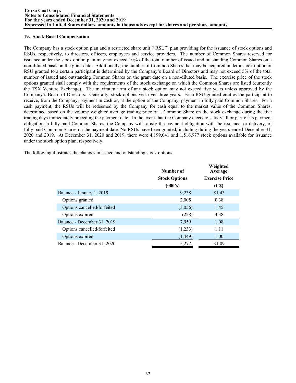#### **19. Stock-Based Compensation**

The Company has a stock option plan and a restricted share unit ("RSU") plan providing for the issuance of stock options and RSUs, respectively, to directors, officers, employees and service providers. The number of Common Shares reserved for issuance under the stock option plan may not exceed 10% of the total number of issued and outstanding Common Shares on a non-diluted basis on the grant date. Additionally, the number of Common Shares that may be acquired under a stock option or RSU granted to a certain participant is determined by the Company's Board of Directors and may not exceed 5% of the total number of issued and outstanding Common Shares on the grant date on a non-diluted basis. The exercise price of the stock options granted shall comply with the requirements of the stock exchange on which the Common Shares are listed (currently the TSX Venture Exchange). The maximum term of any stock option may not exceed five years unless approved by the Company's Board of Directors. Generally, stock options vest over three years. Each RSU granted entitles the participant to receive, from the Company, payment in cash or, at the option of the Company, payment in fully paid Common Shares. For a cash payment, the RSUs will be redeemed by the Company for cash equal to the market value of the Common Shares, determined based on the volume weighted average trading price of a Common Share on the stock exchange during the five trading days immediately preceding the payment date. In the event that the Company elects to satisfy all or part of its payment obligation in fully paid Common Shares, the Company will satisfy the payment obligation with the issuance, or delivery, of fully paid Common Shares on the payment date. No RSUs have been granted, including during the years ended December 31, 2020 and 2019. At December 31, 2020 and 2019, there were 4,199,041 and 1,516,977 stock options available for issuance under the stock option plan, respectively.

The following illustrates the changes in issued and outstanding stock options:

|                             | Number of            | Weighted<br>Average   |
|-----------------------------|----------------------|-----------------------|
|                             | <b>Stock Options</b> | <b>Exercise Price</b> |
|                             | (000's)              | (C\$)                 |
| Balance - January 1, 2019   | 9,238                | \$1.43                |
| Options granted             | 2,005                | 0.38                  |
| Options cancelled/forfeited | (3,056)              | 1.45                  |
| Options expired             | (228)                | 4.38                  |
| Balance - December 31, 2019 | 7,959                | 1.08                  |
| Options cancelled/forfeited | (1,233)              | 1.11                  |
| Options expired             | (1, 449)             | 1.00                  |
| Balance - December 31, 2020 | 5,277                | \$1.09                |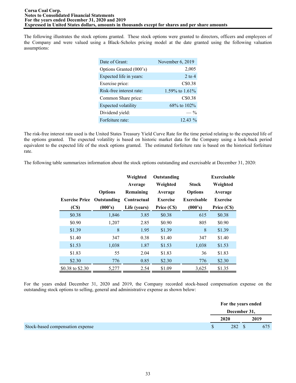The following illustrates the stock options granted. These stock options were granted to directors, officers and employees of the Company and were valued using a Black-Scholes pricing model at the date granted using the following valuation assumptions:

| Date of Grant:             | November 6, 2019  |
|----------------------------|-------------------|
| Options Granted (000's)    | 2,005             |
| Expected life in years:    | $2$ to $4$        |
| Exercise price:            | C\$0.38           |
| Risk-free interest rate:   | 1.59% to $1.61\%$ |
| Common Share price:        | C\$0.38           |
| <b>Expected volatility</b> | 68% to 102%       |
| Dividend yield:            | $-$ %             |
| Forfeiture rate:           | 12.43%            |

The risk-free interest rate used is the United States Treasury Yield Curve Rate for the time period relating to the expected life of the options granted. The expected volatility is based on historic market data for the Company using a look-back period equivalent to the expected life of the stock options granted. The estimated forfeiture rate is based on the historical forfeiture rate.

The following table summarizes information about the stock options outstanding and exercisable at December 31, 2020:

|                       |                | Weighted     | Outstanding     |                | Exercisable     |
|-----------------------|----------------|--------------|-----------------|----------------|-----------------|
|                       |                | Average      | Weighted        | <b>Stock</b>   | Weighted        |
|                       | <b>Options</b> | Remaining    | Average         | <b>Options</b> | Average         |
| <b>Exercise Price</b> | Outstanding    | Contractual  | <b>Exercise</b> | Exercisable    | <b>Exercise</b> |
| (C <sub>s</sub> )     | (000's)        | Life (years) | Price (C\$)     | (000's)        | Price (C\$)     |
| \$0.38                | 1,846          | 3.85         | \$0.38          | 615            | \$0.38          |
| \$0.90                | 1,207          | 2.85         | \$0.90          | 805            | \$0.90          |
| \$1.39                | 8              | 1.95         | \$1.39          | 8              | \$1.39          |
| \$1.40                | 347            | 0.38         | \$1.40          | 347            | \$1.40          |
| \$1.53                | 1,038          | 1.87         | \$1.53          | 1,038          | \$1.53          |
| \$1.83                | 55             | 2.04         | \$1.83          | 36             | \$1.83          |
| \$2.30                | 776            | 0.85         | \$2.30          | 776            | \$2.30          |
| \$0.38 to \$2.30      | 5,277          | 2.54         | \$1.09          | 3,625          | \$1.35          |

For the years ended December 31, 2020 and 2019, the Company recorded stock-based compensation expense on the outstanding stock options to selling, general and administrative expense as shown below:

|                                  | For the years ended |  |      |
|----------------------------------|---------------------|--|------|
|                                  | December 31,        |  |      |
|                                  | 2020                |  | 2019 |
| Stock-based compensation expense | 282                 |  | 675  |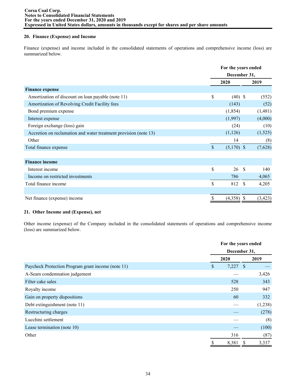# **20. Finance (Expense) and Income**

Finance (expense) and income included in the consolidated statements of operations and comprehensive income (loss) are summarized below.

|                                                                  | For the years ended |                    |          |  |
|------------------------------------------------------------------|---------------------|--------------------|----------|--|
|                                                                  | December 31,        |                    |          |  |
|                                                                  | 2020                |                    | 2019     |  |
| <b>Finance expense</b>                                           |                     |                    |          |  |
| Amortization of discount on loan payable (note 11)               | \$<br>$(40)$ \$     |                    | (552)    |  |
| Amortization of Revolving Credit Facility fees                   | (143)               |                    | (52)     |  |
| Bond premium expense                                             | (1, 854)            |                    | (1,481)  |  |
| Interest expense                                                 | (1,997)             |                    | (4,000)  |  |
| Foreign exchange (loss) gain                                     | (24)                |                    | (10)     |  |
| Accretion on reclamation and water treatment provision (note 13) | (1,126)             |                    | (1,525)  |  |
| Other                                                            | 14                  |                    | (8)      |  |
| Total finance expense                                            | \$<br>$(5,170)$ \$  |                    | (7,628)  |  |
|                                                                  |                     |                    |          |  |
| <b>Finance income</b>                                            |                     |                    |          |  |
| Interest income                                                  | \$<br>26            | $\mathbf{\hat{s}}$ | 140      |  |
| Income on restricted investments                                 | 786                 |                    | 4,065    |  |
| Total finance income                                             | \$<br>812 \$        |                    | 4,205    |  |
| Net finance (expense) income                                     | \$<br>$(4,358)$ \$  |                    | (3, 423) |  |

# **21. Other Income and (Expense), net**

Other income (expense) of the Company included in the consolidated statements of operations and comprehensive income (loss) are summarized below.

|                                                    |                  | For the years ended |  |  |  |
|----------------------------------------------------|------------------|---------------------|--|--|--|
|                                                    |                  | December 31,        |  |  |  |
|                                                    | 2020             | 2019                |  |  |  |
| Paycheck Protection Program grant income (note 11) | \$<br>$7,227$ \$ |                     |  |  |  |
| A-Seam condemnation judgement                      |                  | 3,426               |  |  |  |
| Filter cake sales                                  | 528              | 343                 |  |  |  |
| Royalty income                                     | 250              | 947                 |  |  |  |
| Gain on property dispositions                      | 60               | 332                 |  |  |  |
| Debt extinguishment (note 11)                      |                  | (1,238)             |  |  |  |
| Restructuring charges                              |                  | (278)               |  |  |  |
| Lucchini settlement                                |                  | (8)                 |  |  |  |
| Lease termination (note 10)                        |                  | (100)               |  |  |  |
| Other                                              | 316              | (87)                |  |  |  |
|                                                    | S<br>8,381       | 3,337<br>S          |  |  |  |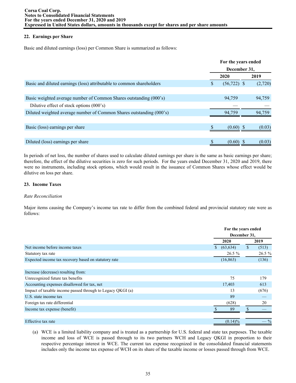# **22. Earnings per Share**

Basic and diluted earnings (loss) per Common Share is summarized as follows:

|                                                                       |   | For the years ended |  |         |  |
|-----------------------------------------------------------------------|---|---------------------|--|---------|--|
|                                                                       |   | December 31,        |  |         |  |
|                                                                       |   | 2020                |  | 2019    |  |
| Basic and diluted earnings (loss) attributable to common shareholders | S | $(56, 722)$ \$      |  | (2,720) |  |
|                                                                       |   |                     |  |         |  |
| Basic weighted average number of Common Shares outstanding (000's)    |   | 94,759              |  | 94,759  |  |
| Dilutive effect of stock options (000's)                              |   |                     |  |         |  |
| Diluted weighted average number of Common Shares outstanding (000's)  |   | 94.759              |  | 94,759  |  |
|                                                                       |   |                     |  |         |  |
| Basic (loss) earnings per share                                       |   | $(0.60)$ \$         |  | (0.03)  |  |
|                                                                       |   |                     |  |         |  |
| Diluted (loss) earnings per share                                     |   | $(0.60)$ \$         |  | (0.03)  |  |

In periods of net loss, the number of shares used to calculate diluted earnings per share is the same as basic earnings per share; therefore, the effect of the dilutive securities is zero for such periods. For the years ended December 31, 2020 and 2019, there were no instruments, including stock options, which would result in the issuance of Common Shares whose effect would be dilutive on loss per share.

# **23. Income Taxes**

# *Rate Reconciliation*

Major items causing the Company's income tax rate to differ from the combined federal and provincial statutory rate were as follows:

|                                                            | For the years ended<br>December 31, |                      |
|------------------------------------------------------------|-------------------------------------|----------------------|
|                                                            | 2020                                | 2019                 |
| Net income before income taxes                             | $\mathbb{S}$<br>(63, 634)           | $\mathbf S$<br>(513) |
| Statutory tax rate                                         | $26.5\%$                            | 26.5 %               |
| Expected income tax recovery based on statutory rate       | (16, 863)                           | (136)                |
|                                                            |                                     |                      |
| Increase (decrease) resulting from:                        |                                     |                      |
| Unrecognized future tax benefits                           | 75                                  | 179                  |
| Accounting expenses disallowed for tax, net                | 17,403                              | 613                  |
| Impact of taxable income passed through to Legacy QKGI (a) | 13                                  | (676)                |
| U.S. state income tax                                      | 89                                  |                      |
| Foreign tax rate differential                              | (628)                               | 20                   |
| Income tax expense (benefit)                               | 89                                  |                      |
|                                                            |                                     |                      |
| Effective tax rate                                         | $(0.14)\%$                          | $-$ %                |

(a) WCE is a limited liability company and is treated as a partnership for U.S. federal and state tax purposes. The taxable income and loss of WCE is passed through to its two partners WCH and Legacy QKGI in proportion to their respective percentage interest in WCE. The current tax expense recognized in the consolidated financial statements includes only the income tax expense of WCH on its share of the taxable income or losses passed through from WCE.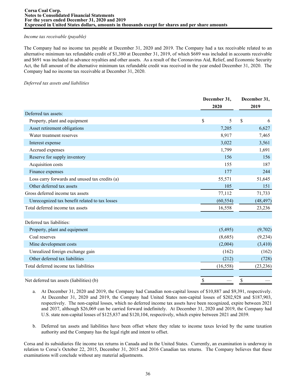#### *Income tax receivable (payable)*

The Company had no income tax payable at December 31, 2020 and 2019. The Company had a tax receivable related to an alternative minimum tax refundable credit of \$1,380 at December 31, 2019, of which \$689 was included in accounts receivable and \$691 was included in advance royalties and other assets. As a result of the Coronavirus Aid, Relief, and Economic Security Act, the full amount of the alternative minimum tax refundable credit was received in the year ended December 31, 2020. The Company had no income tax receivable at December 31, 2020.

#### *Deferred tax assets and liabilities*

|                                                | December 31, | December 31, |  |
|------------------------------------------------|--------------|--------------|--|
|                                                | 2020         | 2019         |  |
| Deferred tax assets:                           |              |              |  |
| Property, plant and equipment                  | \$<br>5      | \$<br>6      |  |
| Asset retirement obligations                   | 7,205        | 6,627        |  |
| Water treatment reserves                       | 8,917        | 7,465        |  |
| Interest expense                               | 3,022        | 3,561        |  |
| Accrued expenses                               | 1,799        | 1,691        |  |
| Reserve for supply inventory                   | 156          | 156          |  |
| Acquisition costs                              | 155          | 187          |  |
| Finance expenses                               | 177          | 244          |  |
| Loss carry forwards and unused tax credits (a) | 55,571       | 51,645       |  |
| Other deferred tax assets                      | 105          | 151          |  |
| Gross deferred income tax assets               | 77,112       | 71,733       |  |
| Unrecognized tax benefit related to tax losses | (60, 554)    | (48, 497)    |  |
| Total deferred income tax assets               | 16,558       | 23,236       |  |
|                                                |              |              |  |
| Deferred tax liabilities:                      |              |              |  |
| Property, plant and equipment                  | (5,495)      | (9,702)      |  |
| Coal reserves                                  | (8,685)      | (9, 234)     |  |
| Mine development costs                         | (2,004)      | (3, 410)     |  |
| Unrealized foreign exchange gain               | (162)        | (162)        |  |
| Other deferred tax liabilities                 | (212)        | (728)        |  |
| Total deferred income tax liabilities          | (16, 558)    | (23, 236)    |  |
| Net deferred tax assets (liabilities) (b)      | \$           | \$           |  |

- a. At December 31, 2020 and 2019, the Company had Canadian non-capital losses of \$10,887 and \$9,391, respectively. At December 31, 2020 and 2019, the Company had United States non-capital losses of \$202,928 and \$187,903, respectively. The non-capital losses, which no deferred income tax assets have been recognized, expire between 2021 and 2037, although \$26,069 can be carried forward indefinitely. At December 31, 2020 and 2019, the Company had U.S. state non-capital losses of \$125,837 and \$120,104, respectively, which expire between 2021 and 2039.
- b. Deferred tax assets and liabilities have been offset where they relate to income taxes levied by the same taxation authority and the Company has the legal right and intent to offset.

Corsa and its subsidiaries file income tax returns in Canada and in the United States. Currently, an examination is underway in relation to Corsa's October 22, 2015, December 31, 2015 and 2016 Canadian tax returns. The Company believes that these examinations will conclude without any material adjustments.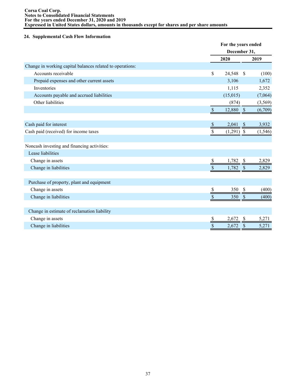# **24. Supplemental Cash Flow Information**

|                                                           |                           | For the years ended |                           |          |
|-----------------------------------------------------------|---------------------------|---------------------|---------------------------|----------|
|                                                           |                           | December 31,        |                           |          |
|                                                           |                           | 2020                |                           | 2019     |
| Change in working capital balances related to operations: |                           |                     |                           |          |
| Accounts receivable                                       | \$                        | 24,548              | S                         | (100)    |
| Prepaid expenses and other current assets                 |                           | 3,106               |                           | 1,672    |
| Inventories                                               |                           | 1,115               |                           | 2,352    |
| Accounts payable and accrued liabilities                  |                           | (15,015)            |                           | (7,064)  |
| Other liabilities                                         |                           | (874)               |                           | (3, 569) |
|                                                           | $\boldsymbol{\mathsf{S}}$ | 12,880 \$           |                           | (6,709)  |
|                                                           |                           |                     |                           |          |
| Cash paid for interest                                    | \$                        | 2,041               | $\boldsymbol{\mathsf{S}}$ | 3,932    |
| Cash paid (received) for income taxes                     | \$                        | $(1,291)$ \$        |                           | (1, 546) |
|                                                           |                           |                     |                           |          |
| Noncash investing and financing activities:               |                           |                     |                           |          |
| Lease liabilities                                         |                           |                     |                           |          |
| Change in assets                                          | S                         | 1,782               | -S                        | 2,829    |
| Change in liabilities                                     | $\mathcal{S}$             | 1,782               | <sup>\$</sup>             | 2,829    |
|                                                           |                           |                     |                           |          |
| Purchase of property, plant and equipment                 |                           |                     |                           |          |
| Change in assets                                          | \$                        | 350                 | $\boldsymbol{\mathsf{S}}$ | (400)    |
| Change in liabilities                                     |                           | 350                 | $\mathcal{S}$             | (400)    |
|                                                           |                           |                     |                           |          |
| Change in estimate of reclamation liability               |                           |                     |                           |          |
| Change in assets                                          | \$                        | 2,672               | \$                        | 5,271    |
| Change in liabilities                                     | $\boldsymbol{\mathsf{S}}$ | 2,672               | \$                        | 5,271    |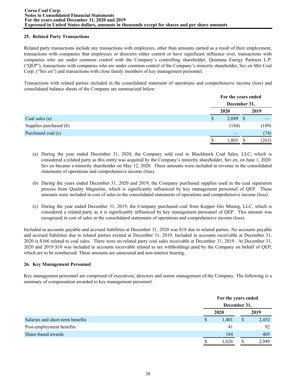# **25. Related Party Transactions**

Related party transactions include any transactions with employees, other than amounts earned as a result of their employment, transactions with companies that employees or directors either control or have significant influence over, transactions with companies who are under common control with the Company's controlling shareholder, Quintana Energy Partners L.P. ("QEP"), transactions with companies who are under common control of the Company's minority shareholder, Sev.en Met Coal Corp. ("Sev.en") and transactions with close family members of key management personnel.

Transactions with related parties included in the consolidated statement of operations and comprehensive income (loss) and consolidated balance sheets of the Company are summarized below:

|                        |   | For the years ended |  |       |
|------------------------|---|---------------------|--|-------|
|                        |   | December 31,        |  |       |
|                        |   | 2020                |  | 2019  |
| Coal sales (a)         | S | $2,049$ \$          |  |       |
| Supplies purchased (b) |   | (184)               |  | (189) |
| Purchased coal (c)     |   |                     |  | (74)  |
|                        |   | .865                |  | (263) |

- (a) During the year ended December 31, 2020, the Company sold coal to Blackhawk Coal Sales, LLC, which is considered a related party as this entity was acquired by the Company's minority shareholder, Sev.en, on June 1, 2020. Sev.en became a minority shareholder on May 12, 2020. These amounts were included in revenue in the consolidated statements of operations and comprehensive income (loss).
- (b) During the years ended December 31, 2020 and 2019, the Company purchased supplies used in the coal separation process from Quality Magnetite, which is significantly influenced by key management personnel of QEP. These amounts were included in cost of sales in the consolidated statements of operations and comprehensive income (loss).
- (c) During the year ended December 31, 2019, the Company purchased coal from Kopper Glo Mining, LLC, which is considered a related party as it is significantly influenced by key management personnel of QEP. This amount was recognized in cost of sales in the consolidated statements of operations and comprehensive income (loss).

Included in accounts payable and accrued liabilities at December 31, 2020 was \$18 due to related parties. No accounts payable and accrued liabilities due to related parties existed at December 31, 2019. Included in accounts receivable at December 31, 2020 is \$166 related to coal sales. There were no related party coal sales receivable at December 31, 2019. At December 31, 2020 and 2019 \$10 was included in accounts receivable related to tax withholdings paid by the Company on behalf of QEP, which are to be reimbursed. These amounts are unsecured and non-interest bearing.

# **26. Key Management Personnel**

Key management personnel are comprised of executives, directors and senior management of the Company. The following is a summary of compensation awarded to key management personnel.

|                                  |   | For the years ended |   |       |
|----------------------------------|---|---------------------|---|-------|
|                                  |   | December 31,        |   |       |
|                                  |   | 2020                |   | 2019  |
| Salaries and short-term benefits | S | 1,401               | S | 2,452 |
| Post-employment benefits         |   | 41                  |   | 92    |
| Share-based awards               |   | 184                 |   | 405   |
|                                  |   | .626                |   | 2,949 |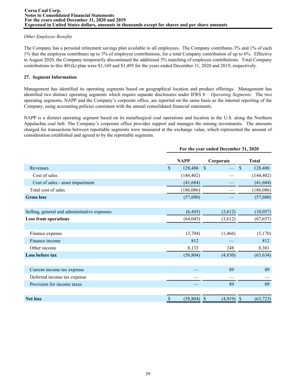# *Other Employee Benefits*

The Company has a personal retirement savings plan available to all employees. The Company contributes 3% and 1% of each 1% that the employee contributes up to 3% of employee contributions, for a total Company contribution of up to 6%. Effective in August 2020, the Company temporarily discontinued the additional 3% matching of employee contributions. Total Company contributions to this 401(k) plan were \$1,169 and \$1,495 for the years ended December 31, 2020 and 2019, respectively.

# **27. Segment Information**

Management has identified its operating segments based on geographical location and product offerings. Management has identified two distinct operating segments which require separate disclosures under IFRS 8 – *Operating Segments*. The two operating segments, NAPP and the Company's corporate office, are reported on the same basis as the internal reporting of the Company, using accounting policies consistent with the annual consolidated financial statements.

NAPP is a distinct operating segment based on its metallurgical coal operations and location in the U.S. along the Northern Appalachia coal belt. The Company's corporate office provides support and manages the mining investments. The amounts charged for transactions between reportable segments were measured at the exchange value, which represented the amount of consideration established and agreed to by the reportable segments.

**For the year ended December 31, 2020**

|               | <b>NAPP</b> | Corporate            | <b>Total</b>               |
|---------------|-------------|----------------------|----------------------------|
| $\mathsf{\$}$ | 128,486     | $\sqrt{\frac{2}{5}}$ | $\mathcal{S}$<br>128,486   |
|               | (144, 402)  |                      | (144, 402)                 |
|               | (41, 684)   |                      | (41, 684)                  |
|               | (186,086)   |                      | (186, 086)                 |
|               | (57,600)    |                      | (57,600)                   |
|               |             |                      |                            |
|               | (6, 445)    | (3,612)              | (10,057)                   |
|               | (64, 045)   | (3,612)              | (67, 657)                  |
|               |             |                      |                            |
|               | (3,704)     | (1, 466)             | (5,170)                    |
|               | 812         |                      | 812                        |
|               | 8,133       | 248                  | 8,381                      |
|               | (58, 804)   | (4,830)              | (63, 634)                  |
|               |             |                      |                            |
|               |             | 89                   | 89                         |
|               |             |                      |                            |
|               |             | 89                   | 89                         |
|               |             |                      |                            |
| \$            | (58, 804)   | (4,919)<br>\$        | (63, 723)<br><sup>\$</sup> |
|               |             |                      |                            |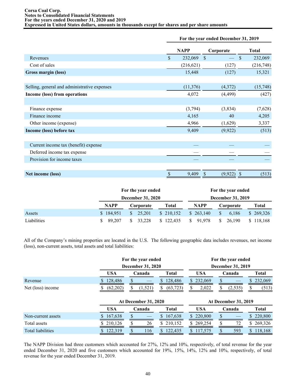|                                              |             |             | For the year ended December 31, 2019 |                         |  |  |  |
|----------------------------------------------|-------------|-------------|--------------------------------------|-------------------------|--|--|--|
|                                              |             | <b>NAPP</b> | Corporate                            | <b>Total</b>            |  |  |  |
| Revenues                                     | $\mathbf S$ | 232,069     | $\mathcal{S}$                        | $\mathbb{S}$<br>232,069 |  |  |  |
| Cost of sales                                |             | (216, 621)  | (127)                                | (216,748)               |  |  |  |
| Gross margin (loss)                          |             | 15,448      | (127)                                | 15,321                  |  |  |  |
|                                              |             |             |                                      |                         |  |  |  |
| Selling, general and administrative expenses |             | (11, 376)   | (4,372)                              | (15,748)                |  |  |  |
| Income (loss) from operations                |             | 4,072       | (4, 499)                             | (427)                   |  |  |  |
|                                              |             |             |                                      |                         |  |  |  |
| Finance expense                              |             | (3,794)     | (3,834)                              | (7,628)                 |  |  |  |
| Finance income                               |             | 4,165       | 40                                   | 4,205                   |  |  |  |
| Other income (expense)                       |             | 4,966       | (1,629)                              | 3,337                   |  |  |  |
| Income (loss) before tax                     |             | 9,409       | (9,922)                              | (513)                   |  |  |  |
|                                              |             |             |                                      |                         |  |  |  |
| Current income tax (benefit) expense         |             |             |                                      |                         |  |  |  |
| Deferred income tax expense                  |             |             |                                      |                         |  |  |  |
| Provision for income taxes                   |             |             |                                      |                         |  |  |  |
| Net income (loss)                            | \$          | 9,409       | $\mathcal{S}$<br>$(9,922)$ \$        | (513)                   |  |  |  |

|             |             | For the year ended       |            |              | For the year ended       |           |
|-------------|-------------|--------------------------|------------|--------------|--------------------------|-----------|
|             |             | <b>December 31, 2020</b> |            |              | <b>December 31, 2019</b> |           |
|             | <b>NAPP</b> | Corporate                | Total      | <b>NAPP</b>  | Corporate                | Total     |
| Assets      | \$184.951   | 25.201<br><sup>S</sup>   | \$ 210,152 | \$263,140    | 6.186                    | \$269,326 |
| Liabilities | 89.207      | 33.228                   | \$122,435  | 91.978<br>S. | 26,190<br>S.             | \$118.168 |

All of the Company's mining properties are located in the U.S. The following geographic data includes revenues, net income (loss), non-current assets, total assets and total liabilities:

|                    |            | For the year ended          |                         |               | For the year ended          |            |
|--------------------|------------|-----------------------------|-------------------------|---------------|-----------------------------|------------|
|                    |            | <b>December 31, 2020</b>    |                         |               | <b>December 31, 2019</b>    |            |
|                    | <b>USA</b> | Canada                      | <b>Total</b>            | <b>USA</b>    | Canada                      | Total      |
| Revenue            | 128,486    |                             | 128,486<br>S            | 232,069<br>S. |                             | 232,069    |
| Net (loss) income  | (62,202)   | (1,521)<br>S                | (63, 723)<br>\$.        | 2,022<br>S    | (2, 535)                    | (513)<br>S |
|                    |            |                             |                         |               |                             |            |
|                    |            |                             |                         |               |                             |            |
|                    |            | <b>At December 31, 2020</b> |                         |               | <b>At December 31, 2019</b> |            |
|                    | <b>USA</b> | Canada                      | <b>Total</b>            | <b>USA</b>    | Canada                      | Total      |
| Non-current assets | 167,638    |                             | 167,638<br>S.           | \$220,800     |                             | \$220,800  |
| Total assets       | 210,126    | 26<br>S                     | 210,152<br><sup>S</sup> | 269,254       | 72                          | \$269,326  |

The NAPP Division had three customers which accounted for 27%, 12% and 10%, respectively, of total revenue for the year ended December 31, 2020 and five customers which accounted for 19%, 15%, 14%, 12% and 10%, respectively, of total revenue for the year ended December 31, 2019.